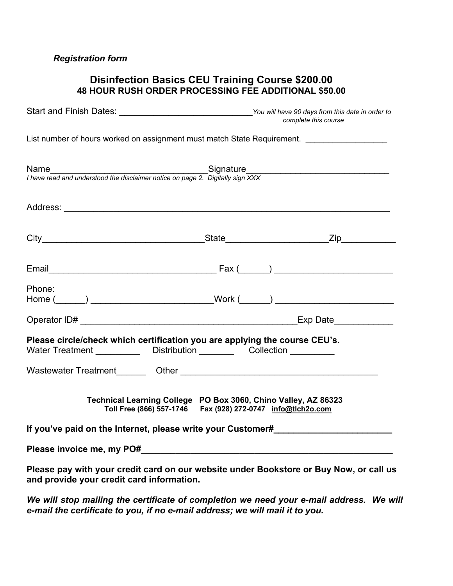# *Registration form*

# **Disinfection Basics CEU Training Course \$200.00 48 HOUR RUSH ORDER PROCESSING FEE ADDITIONAL \$50.00**

| Start and Finish Dates: _________________________________You will have 90 days from this date in order to                                                   |  | complete this course |
|-------------------------------------------------------------------------------------------------------------------------------------------------------------|--|----------------------|
| List number of hours worked on assignment must match State Requirement. ___________________________                                                         |  |                      |
| Name<br>I have read and understood the disclaimer notice on page 2. Digitally sign XXX                                                                      |  |                      |
|                                                                                                                                                             |  |                      |
|                                                                                                                                                             |  |                      |
|                                                                                                                                                             |  |                      |
| Phone:                                                                                                                                                      |  |                      |
|                                                                                                                                                             |  |                      |
| Please circle/check which certification you are applying the course CEU's.<br>Water Treatment ______________ Distribution ___________ Collection __________ |  |                      |
|                                                                                                                                                             |  |                      |
| Technical Learning College PO Box 3060, Chino Valley, AZ 86323<br>Toll Free (866) 557-1746    Fax (928) 272-0747    info@tlch2o.com                         |  |                      |
| If you've paid on the Internet, please write your Customer#_____________________                                                                            |  |                      |
|                                                                                                                                                             |  |                      |
| Please pay with your credit card on our website under Bookstore or Buy Now, or call us<br>and provide your credit card information.                         |  |                      |

*We will stop mailing the certificate of completion we need your e-mail address. We will e-mail the certificate to you, if no e-mail address; we will mail it to you.*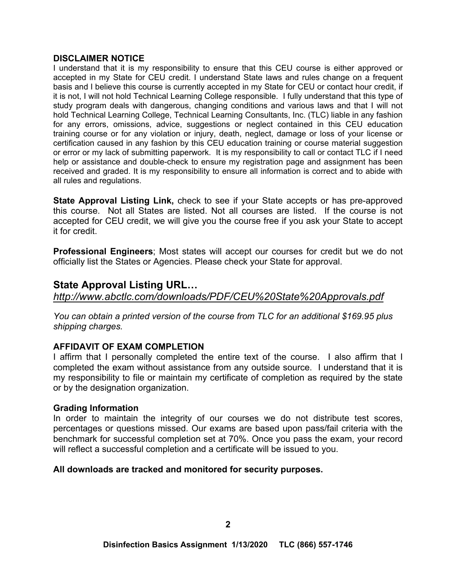## **DISCLAIMER NOTICE**

I understand that it is my responsibility to ensure that this CEU course is either approved or accepted in my State for CEU credit. I understand State laws and rules change on a frequent basis and I believe this course is currently accepted in my State for CEU or contact hour credit, if it is not, I will not hold Technical Learning College responsible. I fully understand that this type of study program deals with dangerous, changing conditions and various laws and that I will not hold Technical Learning College, Technical Learning Consultants, Inc. (TLC) liable in any fashion for any errors, omissions, advice, suggestions or neglect contained in this CEU education training course or for any violation or injury, death, neglect, damage or loss of your license or certification caused in any fashion by this CEU education training or course material suggestion or error or my lack of submitting paperwork. It is my responsibility to call or contact TLC if I need help or assistance and double-check to ensure my registration page and assignment has been received and graded. It is my responsibility to ensure all information is correct and to abide with all rules and regulations.

**State Approval Listing Link,** check to see if your State accepts or has pre-approved this course. Not all States are listed. Not all courses are listed. If the course is not accepted for CEU credit, we will give you the course free if you ask your State to accept it for credit.

**Professional Engineers**; Most states will accept our courses for credit but we do not officially list the States or Agencies. Please check your State for approval.

# **State Approval Listing URL…**

*<http://www.abctlc.com/downloads/PDF/CEU%20State%20Approvals.pdf>*

*You can obtain a printed version of the course from TLC for an additional \$169.95 plus shipping charges.* 

# **AFFIDAVIT OF EXAM COMPLETION**

I affirm that I personally completed the entire text of the course. I also affirm that I completed the exam without assistance from any outside source. I understand that it is my responsibility to file or maintain my certificate of completion as required by the state or by the designation organization.

# **Grading Information**

In order to maintain the integrity of our courses we do not distribute test scores, percentages or questions missed. Our exams are based upon pass/fail criteria with the benchmark for successful completion set at 70%. Once you pass the exam, your record will reflect a successful completion and a certificate will be issued to you.

# **All downloads are tracked and monitored for security purposes.**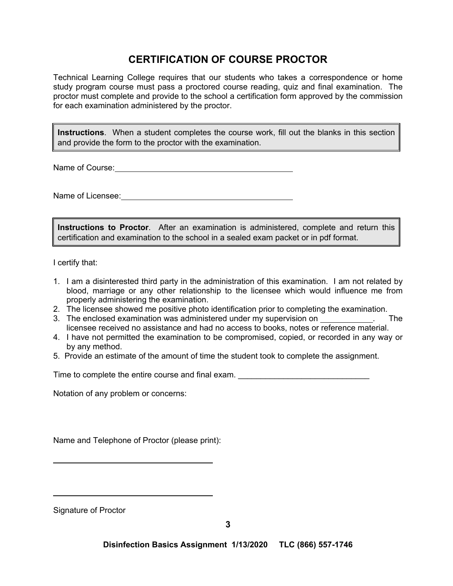# **CERTIFICATION OF COURSE PROCTOR**

Technical Learning College requires that our students who takes a correspondence or home study program course must pass a proctored course reading, quiz and final examination. The proctor must complete and provide to the school a certification form approved by the commission for each examination administered by the proctor.

**Instructions**. When a student completes the course work, fill out the blanks in this section and provide the form to the proctor with the examination.

Name of Course: **Name of Course:** 

Name of Licensee:

**Instructions to Proctor**. After an examination is administered, complete and return this certification and examination to the school in a sealed exam packet or in pdf format.

I certify that:

- 1. I am a disinterested third party in the administration of this examination. I am not related by blood, marriage or any other relationship to the licensee which would influence me from properly administering the examination.
- 2. The licensee showed me positive photo identification prior to completing the examination.
- 3. The enclosed examination was administered under my supervision on . The licensee received no assistance and had no access to books, notes or reference material.
- 4. I have not permitted the examination to be compromised, copied, or recorded in any way or by any method.
- 5. Provide an estimate of the amount of time the student took to complete the assignment.

Time to complete the entire course and final exam.

Notation of any problem or concerns:

Name and Telephone of Proctor (please print):

Signature of Proctor

 $\overline{a}$ 

 $\overline{a}$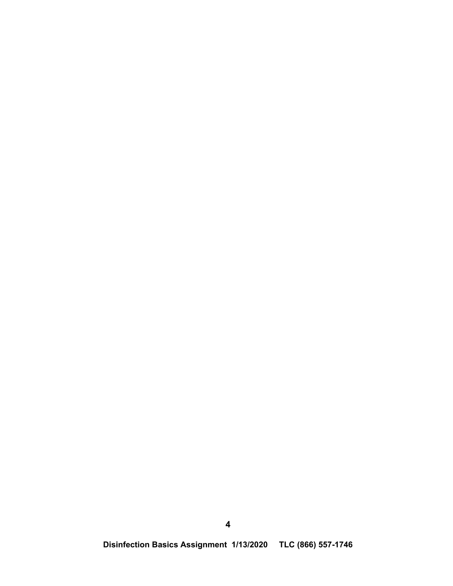**Disinfection Basics Assignment 1/13/2020 TLC (866) 557-1746**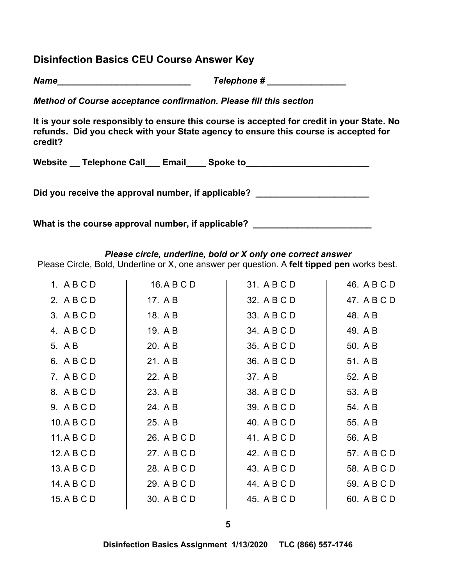# **Disinfection Basics CEU Course Answer Key**

**Name 12.1 and 12.1 and 12.1 and 12.1 and 12.1 and 12.1 and 12.1 and 12.1 and 12.1 and 12.1 and 12.1 and 12.1 and 12.1 and 12.1 and 12.1 and 12.1 and 12.1 and 12.1 and 12.1 and 12.1 and 12.1 and 12.1 and 12.1 and 12.1 an** 

*Method of Course acceptance confirmation. Please fill this section* 

**It is your sole responsibly to ensure this course is accepted for credit in your State. No refunds. Did you check with your State agency to ensure this course is accepted for credit?** 

Website \_\_ Telephone Call \_\_\_ Email \_\_\_\_ Spoke to \_\_\_\_\_\_\_\_\_\_\_\_\_\_\_\_\_\_\_\_\_\_\_\_\_\_\_\_\_\_

Did you receive the approval number, if applicable?

What is the course approval number, if applicable?

*Please circle, underline, bold or X only one correct answer* 

Please Circle, Bold, Underline or X, one answer per question. A **felt tipped pen** works best.

| 1. ABCD     | 16. A B C D | 31. A B C D | 46. A B C D |
|-------------|-------------|-------------|-------------|
| 2. ABCD     | 17. A B     | 32. A B C D | 47. A B C D |
| 3. ABCD     | 18. A B     | 33. A B C D | 48. A B     |
| 4. ABCD     | 19. A B     | 34. A B C D | 49. A B     |
| 5. A B      | 20. A B     | 35. A B C D | 50. A B     |
| 6. ABCD     | 21. A B     | 36. A B C D | 51. A B     |
| 7. ABCD     | 22. A B     | 37. A B     | 52. A B     |
| 8. ABCD     | 23. A B     | 38. A B C D | 53. A B     |
| 9. ABCD     | 24. A B     | 39. A B C D | 54. A B     |
| 10. A B C D | 25. A B     | 40. A B C D | 55. A B     |
| 11. A B C D | 26. A B C D | 41. A B C D | 56. A B     |
| 12.ABCD     | 27. A B C D | 42. A B C D | 57. A B C D |
| 13. A B C D | 28. A B C D | 43. A B C D | 58. A B C D |
| 14. A B C D | 29. A B C D | 44. A B C D | 59. A B C D |
| 15. A B C D | 30. A B C D | 45. A B C D | 60. A B C D |
|             |             |             |             |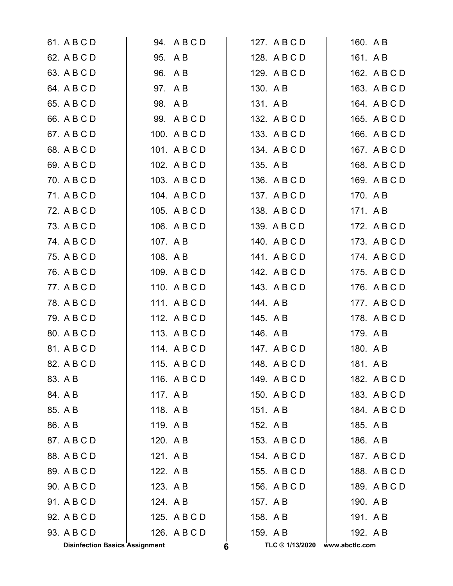| <b>Disinfection Basics Assignment</b> |          |              | 6 | TLC © 1/13/2020 www.abctlc.com |          |              |
|---------------------------------------|----------|--------------|---|--------------------------------|----------|--------------|
| 93. A B C D                           |          | 126. A B C D |   | 159. A B                       | 192. A B |              |
| 92. A B C D                           |          | 125. A B C D |   | 158. A B                       | 191. A B |              |
| 91. A B C D                           | 124. A B |              |   | 157. A B                       | 190. A B |              |
| 90. A B C D                           | 123. A B |              |   | 156. A B C D                   |          | 189. A B C D |
| 89. A B C D                           | 122. AB  |              |   | 155. A B C D                   |          | 188. A B C D |
| 88. A B C D                           | 121. AB  |              |   | 154. ABCD                      |          | 187. A B C D |
| 87. A B C D                           | 120. AB  |              |   | 153. A B C D                   | 186. AB  |              |
| 86. A B                               | 119. AB  |              |   | 152. A B                       | 185. A B |              |
| 85. A B                               | 118. AB  |              |   | 151. AB                        |          | 184. A B C D |
| 84. A B                               | 117. AB  |              |   | 150. A B C D                   |          | 183. A B C D |
| 83. A B                               |          | 116. ABCD    |   | 149. A B C D                   |          | 182. A B C D |
| 82. A B C D                           |          | 115. ABCD    |   | 148. A B C D                   | 181. AB  |              |
| 81. A B C D                           |          | 114. A B C D |   | 147. A B C D                   | 180. AB  |              |
| 80. A B C D                           |          | 113. ABCD    |   | 146. A B                       | 179. A B |              |
| 79. A B C D                           |          | 112. A B C D |   | 145. A B                       |          | 178. A B C D |
| 78. A B C D                           |          | 111. ABCD    |   | 144. A B                       |          | 177. A B C D |
| 77. A B C D                           |          | 110. ABCD    |   | 143. A B C D                   |          | 176. A B C D |
| 76. A B C D                           |          | 109. A B C D |   | 142. A B C D                   |          | 175. A B C D |
| 75. A B C D                           | 108. A B |              |   | 141. A B C D                   |          | 174. A B C D |
| 74. A B C D                           | 107. A B |              |   | 140. A B C D                   |          | 173. A B C D |
| 73. A B C D                           |          | 106. A B C D |   | 139. A B C D                   |          | 172. A B C D |
| 72. A B C D                           |          | 105. A B C D |   | 138. A B C D                   | 171. A B |              |
| 71. A B C D                           |          | 104. A B C D |   | 137. A B C D                   |          | 170. A B     |
| 70. A B C D                           |          | 103. A B C D |   | 136. A B C D                   |          | 169. A B C D |
| 69. A B C D                           |          | 102. A B C D |   | 135. A B                       |          | 168. A B C D |
| 68. A B C D                           |          | 101. A B C D |   | 134. A B C D                   |          | 167. A B C D |
| 67. A B C D                           |          | 100. A B C D |   | 133. A B C D                   |          | 166. A B C D |
| 66. A B C D                           |          | 99. ABCD     |   | 132. A B C D                   |          | 165. A B C D |
| 65. A B C D                           |          | 98. AB       |   | 131. A B                       |          | 164. A B C D |
| 64. A B C D                           |          | 97. AB       |   | 130. A B                       |          | 163. A B C D |
| 63. A B C D                           |          | 96. A B      |   | 129. A B C D                   |          | 162. A B C D |
| 62. A B C D                           |          | 95. A B      |   | 128. A B C D                   | 161. A B |              |
| 61. A B C D                           |          | 94. A B C D  |   | 127. A B C D                   |          | 160. A B     |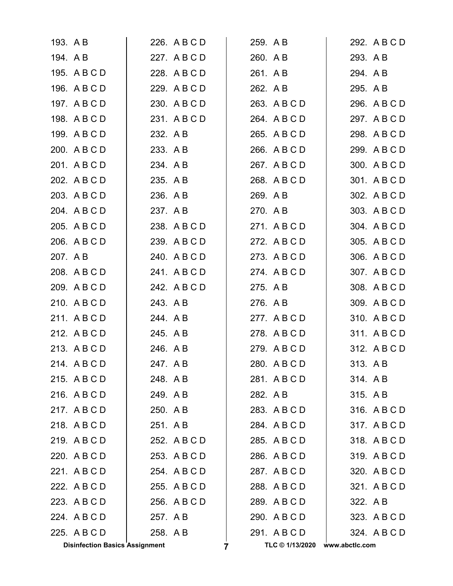| 193. A B<br>194. A B |                                       |          | 226. A B C D<br>227. A B C D | 259. A B<br>260. A B |                 | 293. AB        | 292. A B C D |
|----------------------|---------------------------------------|----------|------------------------------|----------------------|-----------------|----------------|--------------|
|                      |                                       |          |                              |                      |                 |                |              |
|                      | 195. A B C D                          |          | 228. A B C D                 | 261. AB              |                 | 294. AB        |              |
|                      | 196. A B C D                          |          | 229. A B C D                 | 262. A B             |                 | 295. A B       |              |
|                      | 197. ABCD                             |          | 230. A B C D                 |                      | 263. A B C D    |                | 296. A B C D |
|                      | 198. A B C D                          |          | 231. A B C D                 |                      | 264. A B C D    |                | 297. A B C D |
|                      | 199. A B C D                          | 232. A B |                              |                      | 265. A B C D    |                | 298. A B C D |
|                      | 200. A B C D                          | 233. AB  |                              |                      | 266. A B C D    |                | 299. A B C D |
|                      | 201. A B C D                          | 234. AB  |                              |                      | 267. A B C D    |                | 300. A B C D |
|                      | 202. A B C D                          | 235. A B |                              |                      | 268. A B C D    |                | 301. A B C D |
|                      | 203. A B C D                          | 236. AB  |                              | 269. AB              |                 |                | 302. A B C D |
|                      | 204. A B C D                          | 237. A B |                              | 270. A B             |                 |                | 303. A B C D |
|                      | 205. A B C D                          |          | 238. A B C D                 |                      | 271. ABCD       |                | 304. A B C D |
|                      | 206. A B C D                          |          | 239. A B C D                 |                      | 272. A B C D    |                | 305. A B C D |
| 207. A B             |                                       |          | 240. A B C D                 |                      | 273. A B C D    |                | 306. A B C D |
|                      | 208. A B C D                          |          | 241. ABCD                    |                      | 274. ABCD       |                | 307. A B C D |
|                      | 209. A B C D                          |          | 242. A B C D                 | 275. A B             |                 |                | 308. A B C D |
|                      | 210. A B C D                          | 243. AB  |                              | 276. A B             |                 |                | 309. A B C D |
|                      | 211. ABCD                             | 244. AB  |                              |                      | 277. ABCD       |                | 310. A B C D |
|                      | 212. A B C D                          | 245. A B |                              |                      | 278. ABCD       |                | 311. ABCD    |
|                      | 213. A B C D                          | 246. AB  |                              |                      | 279. ABCD       |                | 312. A B C D |
|                      | 214. ABCD                             | 247. AB  |                              |                      | 280. A B C D    | 313. AB        |              |
|                      | 215. A B C D                          | 248. AB  |                              |                      | 281. ABCD       | 314. AB        |              |
|                      | 216. ABCD                             | 249. AB  |                              |                      | 282. A B        | 315. AB        |              |
|                      | 217. ABCD                             | 250. A B |                              |                      | 283. A B C D    |                | 316. ABCD    |
|                      | 218. ABCD                             | 251. AB  |                              |                      | 284. ABCD       |                | 317. ABCD    |
|                      | 219. ABCD                             |          | 252. A B C D                 |                      | 285. A B C D    |                | 318. A B C D |
|                      | 220. A B C D                          |          | 253. A B C D                 |                      | 286. A B C D    |                | 319. ABCD    |
|                      | 221. A B C D                          |          | 254. A B C D                 |                      | 287. ABCD       |                | 320. A B C D |
|                      | 222. A B C D                          |          | 255. A B C D                 |                      | 288. A B C D    |                | 321. A B C D |
|                      | 223. A B C D                          |          | 256. A B C D                 |                      | 289. ABCD       | 322. A B       |              |
|                      | 224. ABCD                             | 257. A B |                              |                      | 290. ABCD       |                | 323. A B C D |
|                      | 225. A B C D                          | 258. A B |                              |                      | 291. ABCD       |                | 324. A B C D |
|                      | <b>Disinfection Basics Assignment</b> |          |                              | 7                    | TLC © 1/13/2020 | www.abctlc.com |              |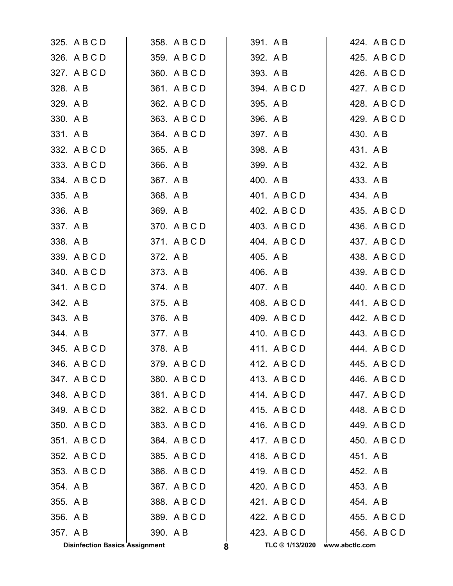|          | <b>Disinfection Basics Assignment</b> |          |              | 8        | TLC © 1/13/2020 www.abctlc.com |          |              |
|----------|---------------------------------------|----------|--------------|----------|--------------------------------|----------|--------------|
| 357. AB  |                                       | 390. AB  |              |          | 423. A B C D                   |          | 456. A B C D |
| 356. A B |                                       |          | 389. A B C D |          | 422. A B C D                   |          | 455. A B C D |
| 355. A B |                                       |          | 388. A B C D |          | 421. ABCD                      | 454. A B |              |
| 354. A B |                                       |          | 387. A B C D |          | 420. A B C D                   | 453. A B |              |
|          | 353. A B C D                          |          | 386. A B C D |          | 419. ABCD                      | 452. A B |              |
|          | 352. A B C D                          |          | 385. A B C D |          | 418. ABCD                      | 451. A B |              |
|          | 351. ABCD                             |          | 384. A B C D |          | 417. ABCD                      |          | 450. A B C D |
|          | 350. A B C D                          |          | 383. A B C D |          | 416. ABCD                      |          | 449. ABCD    |
|          | 349. ABCD                             |          | 382. A B C D |          | 415. ABCD                      |          | 448. A B C D |
|          | 348. ABCD                             |          | 381. ABCD    |          | 414. ABCD                      |          | 447. ABCD    |
|          | 347. A B C D                          |          | 380. A B C D |          | 413. ABCD                      |          | 446. A B C D |
|          | 346. A B C D                          |          | 379. ABCD    |          | 412. A B C D                   |          | 445. A B C D |
|          | 345. A B C D                          | 378. AB  |              |          | 411. ABCD                      |          | 444. A B C D |
| 344. AB  |                                       | 377. A B |              |          | 410. A B C D                   |          | 443. A B C D |
| 343. A B |                                       | 376. AB  |              |          | 409. A B C D                   |          | 442. A B C D |
| 342. A B |                                       | 375. A B |              |          | 408. A B C D                   |          | 441. ABCD    |
|          | 341. ABCD                             | 374. A B |              | 407. AB  |                                |          | 440. A B C D |
|          | 340. A B C D                          | 373. A B |              | 406. A B |                                |          | 439. A B C D |
|          | 339. A B C D                          | 372. A B |              | 405. A B |                                |          | 438. A B C D |
| 338. A B |                                       |          | 371. ABCD    |          | 404. A B C D                   |          | 437. A B C D |
| 337. AB  |                                       |          | 370. A B C D |          | 403. A B C D                   |          | 436. A B C D |
| 336. A B |                                       | 369. A B |              |          | 402. A B C D                   |          | 435. A B C D |
| 335. A B |                                       | 368. A B |              |          | 401. A B C D                   | 434. A B |              |
|          | 334. A B C D                          | 367. A B |              | 400. A B |                                | 433. A B |              |
|          | 333. A B C D                          | 366. A B |              | 399. A B |                                | 432. A B |              |
|          | 332. A B C D                          | 365. A B |              | 398. A B |                                | 431. A B |              |
| 331. AB  |                                       |          | 364. A B C D | 397. AB  |                                | 430. A B |              |
| 330. AB  |                                       |          | 363. A B C D | 396. AB  |                                |          | 429. A B C D |
| 329. A B |                                       |          | 362. A B C D | 395. A B |                                |          | 428. A B C D |
| 328. AB  |                                       |          | 361. A B C D |          | 394. A B C D                   |          | 427. A B C D |
|          | 327. ABCD                             |          | 360. A B C D | 393. AB  |                                |          | 426. A B C D |
|          | 326. A B C D                          |          | 359. A B C D | 392. A B |                                |          | 425. A B C D |
|          | 325. A B C D                          |          | 358. A B C D | 391. A B |                                |          | 424. A B C D |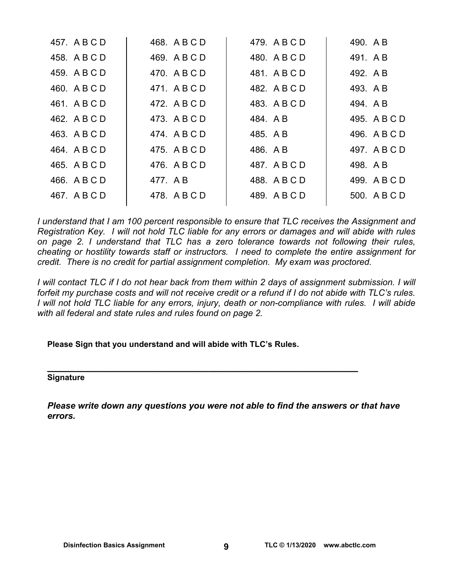| 457. ABCD    | 468. A B C D | 479. ABCD    | 490. A B     |
|--------------|--------------|--------------|--------------|
| 458. A B C D | 469. A B C D | 480. A B C D | 491. AB      |
| 459. A B C D | 470. A B C D | 481. ABCD    | 492. A B     |
| 460. A B C D | 471. ABCD    | 482. A B C D | 493. A B     |
| 461. ABCD    | 472. A B C D | 483. A B C D | 494. A B     |
| 462. A B C D | 473. A B C D | 484. A B     | 495. A B C D |
| 463. A B C D | 474. A B C D | 485. A B     | 496. A B C D |
| 464. A B C D | 475. A B C D | 486. A B     | 497. ABCD    |
| 465. A B C D | 476. A B C D | 487. ABCD    | 498. A B     |
| 466. A B C D | 477. A B     | 488. A B C D | 499. A B C D |
| 467. A B C D | 478. A B C D | 489. A B C D | 500. A B C D |
|              |              |              |              |

*I understand that I am 100 percent responsible to ensure that TLC receives the Assignment and Registration Key. I will not hold TLC liable for any errors or damages and will abide with rules on page 2. I understand that TLC has a zero tolerance towards not following their rules, cheating or hostility towards staff or instructors. I need to complete the entire assignment for credit. There is no credit for partial assignment completion. My exam was proctored.* 

*I* will contact TLC if I do not hear back from them within 2 days of assignment submission. I will *forfeit my purchase costs and will not receive credit or a refund if I do not abide with TLC's rules. I will not hold TLC liable for any errors, injury, death or non-compliance with rules. I will abide with all federal and state rules and rules found on page 2.* 

**Please Sign that you understand and will abide with TLC's Rules.** 

**\_\_\_\_\_\_\_\_\_\_\_\_\_\_\_\_\_\_\_\_\_\_\_\_\_\_\_\_\_\_\_\_\_\_\_\_\_\_\_\_\_\_\_\_\_\_\_\_\_\_\_\_\_\_ Signature** 

*Please write down any questions you were not able to find the answers or that have errors.*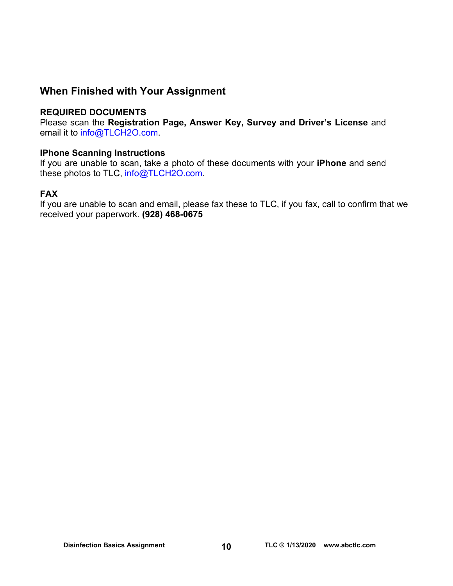# **When Finished with Your Assignment**

## **REQUIRED DOCUMENTS**

Please scan the **Registration Page, Answer Key, Survey and Driver's License** and email it to [info@TLCH2O.com.](mailto:info@TLCH2O.com) 

# **IPhone Scanning Instructions**

If you are unable to scan, take a photo of these documents with your **iPhone** and send these photos to TLC, [info@TLCH2O.com.](mailto:info@TLCH2O.com) 

# **FAX**

If you are unable to scan and email, please fax these to TLC, if you fax, call to confirm that we received your paperwork. **(928) 468-0675**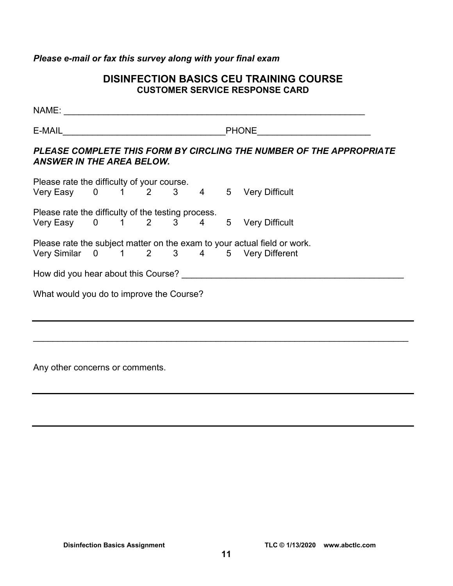# *Please e-mail or fax this survey along with your final exam*

# **DISINFECTION BASICS CEU TRAINING COURSE CUSTOMER SERVICE RESPONSE CARD**

| NAME: _______                                                                              |  |  |  |  |  |                                       |                                                                                                                     |  |
|--------------------------------------------------------------------------------------------|--|--|--|--|--|---------------------------------------|---------------------------------------------------------------------------------------------------------------------|--|
|                                                                                            |  |  |  |  |  | PHONE <u>________________________</u> |                                                                                                                     |  |
| <b>ANSWER IN THE AREA BELOW.</b>                                                           |  |  |  |  |  |                                       | PLEASE COMPLETE THIS FORM BY CIRCLING THE NUMBER OF THE APPROPRIATE                                                 |  |
| Please rate the difficulty of your course.<br>Very Easy 0 1 2 3 4 5 Very Difficult         |  |  |  |  |  |                                       |                                                                                                                     |  |
| Please rate the difficulty of the testing process.<br>Very Easy 0 1 2 3 4 5 Very Difficult |  |  |  |  |  |                                       |                                                                                                                     |  |
|                                                                                            |  |  |  |  |  |                                       | Please rate the subject matter on the exam to your actual field or work.<br>Very Similar 0 1 2 3 4 5 Very Different |  |
|                                                                                            |  |  |  |  |  |                                       |                                                                                                                     |  |
| What would you do to improve the Course?                                                   |  |  |  |  |  |                                       |                                                                                                                     |  |

\_\_\_\_\_\_\_\_\_\_\_\_\_\_\_\_\_\_\_\_\_\_\_\_\_\_\_\_\_\_\_\_\_\_\_\_\_\_\_\_\_\_\_\_\_\_\_\_\_\_\_\_\_\_\_\_\_\_\_\_\_\_\_\_\_\_\_\_\_\_\_\_\_\_\_\_

Any other concerns or comments.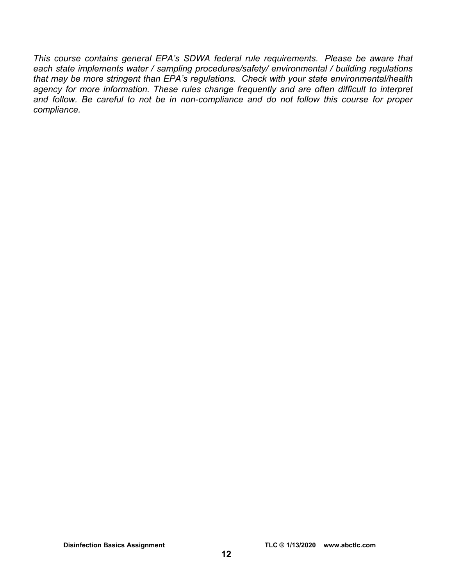*This course contains general EPA's SDWA federal rule requirements. Please be aware that each state implements water / sampling procedures/safety/ environmental / building regulations that may be more stringent than EPA's regulations. Check with your state environmental/health agency for more information. These rules change frequently and are often difficult to interpret and follow. Be careful to not be in non-compliance and do not follow this course for proper compliance.*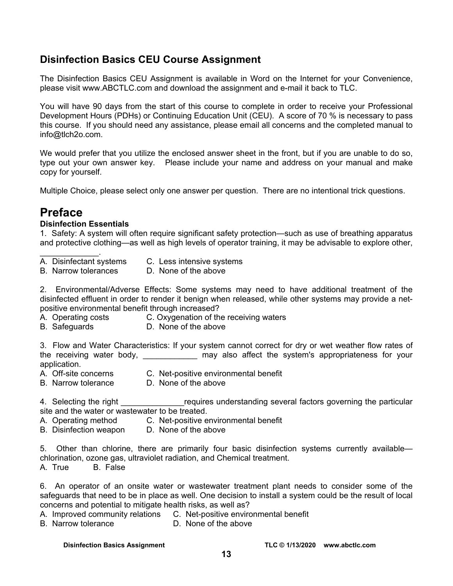# **Disinfection Basics CEU Course Assignment**

The Disinfection Basics CEU Assignment is available in Word on the Internet for your Convenience, please visit [www.ABCTLC.com an](http://www.ABCTLC.com)d download the assignment and e-mail it back to TLC.

You will have 90 days from the start of this course to complete in order to receive your Professional Development Hours (PDHs) or Continuing Education Unit (CEU). A score of 70 % is necessary to pass this course. If you should need any assistance, please email all concerns and the completed manual to [info@tlch2o.com.](mailto:info@tlch2o.com) 

We would prefer that you utilize the enclosed answer sheet in the front, but if you are unable to do so, type out your own answer key. Please include your name and address on your manual and make copy for yourself.

Multiple Choice, please select only one answer per question. There are no intentional trick questions.

# **Preface**

## **Disinfection Essentials**

1. Safety: A system will often require significant safety protection—such as use of breathing apparatus and protective clothing—as well as high levels of operator training, it may be advisable to explore other,

- $\mathcal{L}_\text{max}$  . The set of the set of the set of the set of the set of the set of the set of the set of the set of the set of the set of the set of the set of the set of the set of the set of the set of the set of the set A. Disinfectant systems C. Less intensive systems
	-
- B. Narrow tolerances D. None of the above

2. Environmental/Adverse Effects: Some systems may need to have additional treatment of the disinfected effluent in order to render it benign when released, while other systems may provide a netpositive environmental benefit through increased?

- A. Operating costs C. Oxygenation of the receiving waters
- B. Safeguards D. None of the above

3. Flow and Water Characteristics: If your system cannot correct for dry or wet weather flow rates of the receiving water body, \_\_\_\_\_\_\_\_\_\_\_\_ may also affect the system's appropriateness for your application.

- A. Off-site concerns C. Net-positive environmental benefit
- B. Narrow tolerance D. None of the above

4. Selecting the right Theoreus requires understanding several factors governing the particular site and the water or wastewater to be treated.

- A. Operating method C. Net-positive environmental benefit
- B. Disinfection weapon D. None of the above

5. Other than chlorine, there are primarily four basic disinfection systems currently available chlorination, ozone gas, ultraviolet radiation, and Chemical treatment.

A. True B. False

6. An operator of an onsite water or wastewater treatment plant needs to consider some of the safeguards that need to be in place as well. One decision to install a system could be the result of local concerns and potential to mitigate health risks, as well as?

- A. Improved community relations C. Net-positive environmental benefit
- B. Narrow tolerance D. None of the above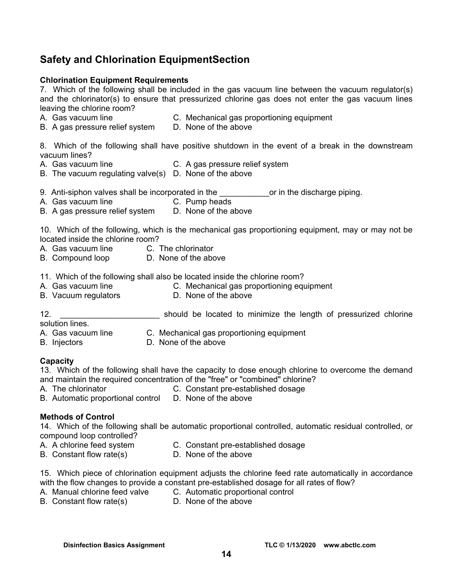# **Safety and Chlorination EquipmentSection**

#### **Chlorination Equipment Requirements**

7. Which of the following shall be included in the gas vacuum line between the vacuum regulator(s) and the chlorinator(s) to ensure that pressurized chlorine gas does not enter the gas vacuum lines leaving the chlorine room?

- A. Gas vacuum line C. Mechanical gas proportioning equipment
- B. A gas pressure relief system D. None of the above

8. Which of the following shall have positive shutdown in the event of a break in the downstream vacuum lines?

- A. Gas vacuum line C. A gas pressure relief system
- B. The vacuum regulating valve(s) D. None of the above
- 9. Anti-siphon valves shall be incorporated in the same or in the discharge piping.
- A. Gas vacuum line C. Pump heads
- B. A gas pressure relief system D. None of the above

10. Which of the following, which is the mechanical gas proportioning equipment, may or may not be located inside the chlorine room?

- A. Gas vacuum line C. The chlorinator
- B. Compound loop D. None of the above
- 11. Which of the following shall also be located inside the chlorine room?
- A. Gas vacuum line C. Mechanical gas proportioning equipment
- B. Vacuum regulators D. None of the above
- 12. \_\_\_\_\_\_\_\_\_\_\_\_\_\_\_\_\_\_\_\_\_\_ should be located to minimize the length of pressurized chlorine solution lines.
- A. Gas vacuum line C. Mechanical gas proportioning equipment
- B. Injectors D. None of the above
- **Capacity**

13. Which of the following shall have the capacity to dose enough chlorine to overcome the demand and maintain the required concentration of the "free" or "combined" chlorine?

- A. The chlorinator C. Constant pre-established dosage
- B. Automatic proportional control D. None of the above

## **Methods of Control**

14. Which of the following shall be automatic proportional controlled, automatic residual controlled, or compound loop controlled?

- A. A chlorine feed system C. Constant pre-established dosage
- B. Constant flow rate(s) D. None of the above

15. Which piece of chlorination equipment adjusts the chlorine feed rate automatically in accordance with the flow changes to provide a constant pre-established dosage for all rates of flow?

- A. Manual chlorine feed valve  $\begin{array}{ccc} \text{C.} \end{array}$  Automatic proportional control B. Constant flow rate(s)  $\begin{array}{ccc} \text{D.} \end{array}$  None of the above B. Constant flow rate(s)
	-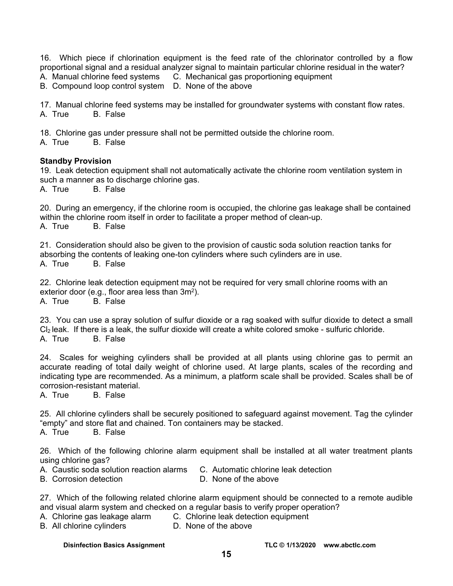16. Which piece if chlorination equipment is the feed rate of the chlorinator controlled by a flow proportional signal and a residual analyzer signal to maintain particular chlorine residual in the water?

A. Manual chlorine feed systems C. Mechanical gas proportioning equipment

B. Compound loop control system D. None of the above

17. Manual chlorine feed systems may be installed for groundwater systems with constant flow rates. A. True B. False

18. Chlorine gas under pressure shall not be permitted outside the chlorine room.

A. True B. False

#### **Standby Provision**

19. Leak detection equipment shall not automatically activate the chlorine room ventilation system in such a manner as to discharge chlorine gas.

A. True B. False

20. During an emergency, if the chlorine room is occupied, the chlorine gas leakage shall be contained within the chlorine room itself in order to facilitate a proper method of clean-up.

A. True B. False

21. Consideration should also be given to the provision of caustic soda solution reaction tanks for absorbing the contents of leaking one-ton cylinders where such cylinders are in use.

A. True B. False

22. Chlorine leak detection equipment may not be required for very small chlorine rooms with an exterior door (e.g., floor area less than  $3m^2$ ).

A. True B. False

23. You can use a spray solution of sulfur dioxide or a rag soaked with sulfur dioxide to detect a small CI<sub>2</sub> leak. If there is a leak, the sulfur dioxide will create a white colored smoke - sulfuric chloride. A. True B. False

24. Scales for weighing cylinders shall be provided at all plants using chlorine gas to permit an accurate reading of total daily weight of chlorine used. At large plants, scales of the recording and indicating type are recommended. As a minimum, a platform scale shall be provided. Scales shall be of corrosion-resistant material.

A. True B. False

25. All chlorine cylinders shall be securely positioned to safeguard against movement. Tag the cylinder "empty" and store flat and chained. Ton containers may be stacked.

A. True B. False

26. Which of the following chlorine alarm equipment shall be installed at all water treatment plants using chlorine gas?

A. Caustic soda solution reaction alarms C. Automatic chlorine leak detection

B. Corrosion detection **D. None of the above** 

27. Which of the following related chlorine alarm equipment should be connected to a remote audible and visual alarm system and checked on a regular basis to verify proper operation?

- A. Chlorine gas leakage alarm C. Chlorine leak detection equipment
- B. All chlorine cylinders D. None of the above

**Disinfection Basics Assignment TLC © 1/13/2020 [www.abctlc.com](http://www.abctlc.com)**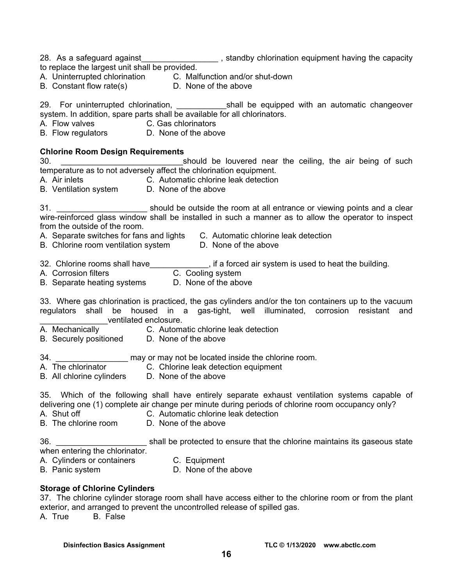| 28. As a safeguard against | , standby chlorination equipment having the capacity |  |
|----------------------------|------------------------------------------------------|--|
| .                          |                                                      |  |

- to replace the largest unit shall be provided.
- A. Uninterrupted chlorination C. Malfunction and/or shut-down
- B. Constant flow rate(s) D. None of the above

29. For uninterrupted chlorination, extending the equipped with an automatic changeover system. In addition, spare parts shall be available for all chlorinators.

- A. Flow valves C. Gas chlorinators
- B. Flow regulators D. None of the above

## **Chlorine Room Design Requirements**

30. **Example 20. EXECUTE:** Should be louvered near the ceiling, the air being of such temperature as to not adversely affect the chlorination equipment.

- A. Air inlets C. Automatic chlorine leak detection
- B. Ventilation system D. None of the above

31. **Example 21.** Should be outside the room at all entrance or viewing points and a clear wire-reinforced glass window shall be installed in such a manner as to allow the operator to inspect from the outside of the room.

- A. Separate switches for fans and lights C. Automatic chlorine leak detection
- B. Chlorine room ventilation system D. None of the above

32. Chlorine rooms shall have\_\_\_\_\_\_\_\_\_\_\_, if a forced air system is used to heat the building.

- A. Corrosion filters C. Cooling system
- B. Separate heating systems D. None of the above

33. Where gas chlorination is practiced, the gas cylinders and/or the ton containers up to the vacuum regulators shall be housed in a gas-tight, well illuminated, corrosion resistant and \_\_\_\_\_\_\_\_\_\_\_\_\_\_\_ventilated enclosure.

- A. Mechanically C. Automatic chlorine leak detection
- B. Securely positioned D. None of the above
- 34. **Example 34.** The may or may not be located inside the chlorine room.
- A. The chlorinator **C.** Chlorine leak detection equipment
- B. All chlorine cylinders D. None of the above

35. Which of the following shall have entirely separate exhaust ventilation systems capable of delivering one (1) complete air change per minute during periods of chlorine room occupancy only?

- A. Shut off C. Automatic chlorine leak detection
- B. The chlorine room D. None of the above

36. **Example 20 Shall be protected to ensure that the chlorine maintains its gaseous state** when entering the chlorinator.

- A. Cylinders or containers C. Equipment
- B. Panic system D. None of the above

## **Storage of Chlorine Cylinders**

37. The chlorine cylinder storage room shall have access either to the chlorine room or from the plant exterior, and arranged to prevent the uncontrolled release of spilled gas.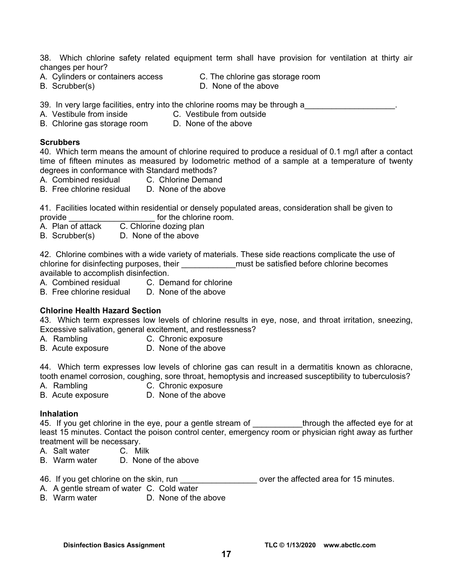38. Which chlorine safety related equipment term shall have provision for ventilation at thirty air changes per hour?

A. Cylinders or containers access C. The chlorine gas storage room

B. Scrubber(s) D. None of the above

39. In very large facilities, entry into the chlorine rooms may be through a

- 
- A. Vestibule from inside C. Vestibule from outside
- B. Chlorine gas storage room D. None of the above

#### **Scrubbers**

40. Which term means the amount of chlorine required to produce a residual of 0.1 mg/l after a contact time of fifteen minutes as measured by Iodometric method of a sample at a temperature of twenty degrees in conformance with Standard methods?

- A. Combined residual C. Chlorine Demand
- B. Free chlorine residual D. None of the above

41. Facilities located within residential or densely populated areas, consideration shall be given to provide **the children's** for the chlorine room.

A. Plan of attack C. Chlorine dozing plan

B. Scrubber(s) D. None of the above

42. Chlorine combines with a wide variety of materials. These side reactions complicate the use of chlorine for disinfecting purposes, their \_\_\_\_\_\_\_\_\_\_\_\_must be satisfied before chlorine becomes available to accomplish disinfection.

A. Combined residual C. Demand for chlorine

B. Free chlorine residual D. None of the above

## **Chlorine Health Hazard Section**

43. Which term expresses low levels of chlorine results in eye, nose, and throat irritation, sneezing, Excessive salivation, general excitement, and restlessness?

- A. Rambling C. Chronic exposure
- B. Acute exposure **D. None of the above**

44. Which term expresses low levels of chlorine gas can result in a dermatitis known as chloracne, tooth enamel corrosion, coughing, sore throat, hemoptysis and increased susceptibility to tuberculosis?

- 
- A. Rambling C. Chronic exposure
- B. Acute exposure D. None of the above

#### **Inhalation**

45. If you get chlorine in the eye, pour a gentle stream of through the affected eye for at least 15 minutes. Contact the poison control center, emergency room or physician right away as further treatment will be necessary.

- A. Salt water C. Milk
- B. Warm water D. None of the above
- 46. If you get chlorine on the skin, run **contained a set of the affected area for 15 minutes.**
- A. A gentle stream of water C. Cold water
- B. Warm water **D. None of the above**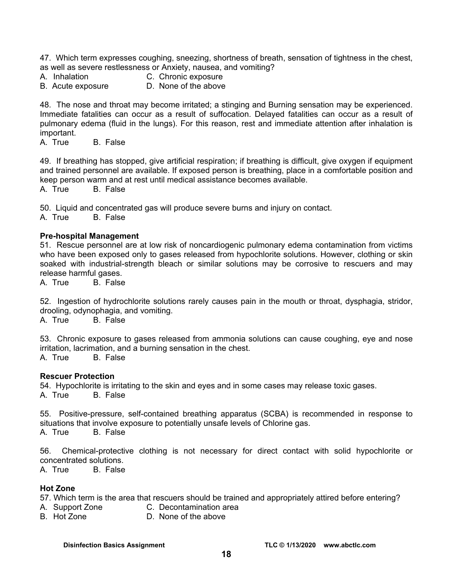47. Which term expresses coughing, sneezing, shortness of breath, sensation of tightness in the chest, as well as severe restlessness or Anxiety, nausea, and vomiting?

- A. Inhalation C. Chronic exposure
- B. Acute exposure D. None of the above

48. The nose and throat may become irritated; a stinging and Burning sensation may be experienced. Immediate fatalities can occur as a result of suffocation. Delayed fatalities can occur as a result of pulmonary edema (fluid in the lungs). For this reason, rest and immediate attention after inhalation is important.

A. True B. False

49. If breathing has stopped, give artificial respiration; if breathing is difficult, give oxygen if equipment and trained personnel are available. If exposed person is breathing, place in a comfortable position and keep person warm and at rest until medical assistance becomes available.

A. True B. False

50. Liquid and concentrated gas will produce severe burns and injury on contact.

A. True B. False

#### **Pre-hospital Management**

51.Rescue personnel are at low risk of noncardiogenic pulmonary edema contamination from victims who have been exposed only to gases released from hypochlorite solutions. However, clothing or skin soaked with industrial-strength bleach or similar solutions may be corrosive to rescuers and may release harmful gases.

A. True B. False

52. Ingestion of hydrochlorite solutions rarely causes pain in the mouth or throat, dysphagia, stridor, drooling, odynophagia, and vomiting.

A. True B. False

53. Chronic exposure to gases released from ammonia solutions can cause coughing, eye and nose irritation, lacrimation, and a burning sensation in the chest.

A. True B. False

#### **Rescuer Protection**

54.Hypochlorite is irritating to the skin and eyes and in some cases may release toxic gases.

A. True B. False

55. Positive-pressure, self-contained breathing apparatus (SCBA) is recommended in response to situations that involve exposure to potentially unsafe levels of Chlorine gas.

A. True B. False

56. Chemical-protective clothing is not necessary for direct contact with solid hypochlorite or concentrated solutions.

A. True B. False

#### **Hot Zone**

- 57. Which term is the area that rescuers should be trained and appropriately attired before entering?
- A. Support Zone C. Decontamination area
- B. Hot Zone D. None of the above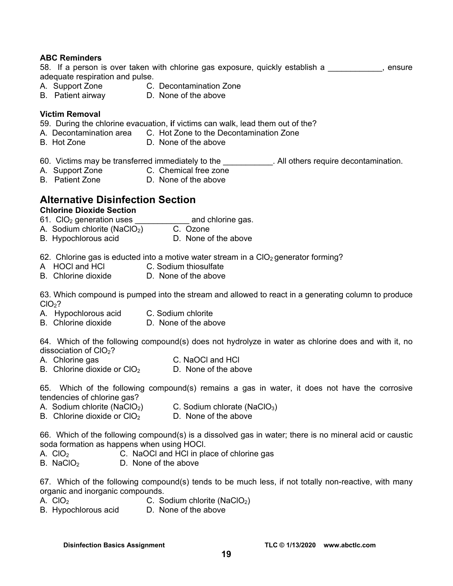## **ABC Reminders**

58. If a person is over taken with chlorine gas exposure, quickly establish a same a sensure adequate respiration and pulse.

- 
- A. Support Zone C. Decontamination Zone
- 
- B. Patient airway D. None of the above
- **Victim Removal**

#### 59.During the chlorine evacuation, **i**f victims can walk, lead them out of the?

- A. Decontamination area C. Hot Zone to the Decontamination Zone<br>B. Hot Zone B. None of the above
- D. None of the above
- 60. Victims may be transferred immediately to the **Example 20. All others require decontamination.**
- A. Support Zone C. Chemical free zone
- B. Patient Zone D. None of the above

# **Alternative Disinfection Section**

#### **Chlorine Dioxide Section**

- 61.  $ClO<sub>2</sub>$  generation uses  $\qquad \qquad$  and chlorine gas.
- A. Sodium chlorite (NaClO<sub>2</sub>) C. Ozone
- B. Hypochlorous acid **D.** None of the above
- 62. Chlorine gas is educted into a motive water stream in a ClO<sub>2</sub> generator forming?
- A HOCl and HCl C. Sodium thiosulfate
- B. Chlorine dioxide D. None of the above

63. Which compound is pumped into the stream and allowed to react in a generating column to produce  $ClO<sub>2</sub>$ ?

- A. Hypochlorous acid C. Sodium chlorite
- B. Chlorine dioxide D. None of the above

64. Which of the following compound(s) does not hydrolyze in water as chlorine does and with it, no dissociation of  $ClO<sub>2</sub>$ ?

- A. Chlorine gas C. NaOCl and HCl
- B. Chlorine dioxide or  $ClO<sub>2</sub>$  D. None of the above

65. Which of the following compound(s) remains a gas in water, it does not have the corrosive tendencies of chlorine gas?

- A. Sodium chlorite  $(NaClO<sub>2</sub>)$  C. Sodium chlorate  $(NaClO<sub>3</sub>)$
- B. Chlorine dioxide or  $ClO<sub>2</sub>$  D. None of the above

66. Which of the following compound(s) is a dissolved gas in water; there is no mineral acid or caustic soda formation as happens when using HOCl.

- A.  $ClO<sub>2</sub>$  C. NaOCI and HCI in place of chlorine gas
- B. NaClO<sub>2</sub> D. None of the above

67. Which of the following compound(s) tends to be much less, if not totally non-reactive, with many organic and inorganic compounds.

- A.  $ClO<sub>2</sub>$  C. Sodium chlorite (NaClO<sub>2</sub>)
- B. Hypochlorous acid D. None of the above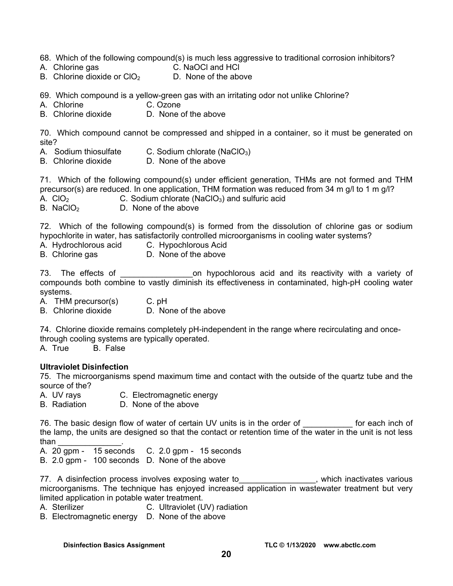68. Which of the following compound(s) is much less aggressive to traditional corrosion inhibitors?

- A. Chlorine gas C. NaOCl and HCl
- B. Chlorine dioxide or  $ClO<sub>2</sub>$  D. None of the above

69. Which compound is a yellow-green gas with an irritating odor not unlike Chlorine?

- A. Chlorine C. Ozone
- B. Chlorine dioxide D. None of the above

70. Which compound cannot be compressed and shipped in a container, so it must be generated on site?

- A. Sodium thiosulfate C. Sodium chlorate (NaClO<sub>3</sub>)
- B. Chlorine dioxide D. None of the above

71. Which of the following compound(s) under efficient generation, THMs are not formed and THM precursor(s) are reduced. In one application, THM formation was reduced from 34 m g/l to 1 m g/l?

- A.  $ClO<sub>2</sub>$  C. Sodium chlorate (NaClO<sub>3</sub>) and sulfuric acid B. NaClO<sub>2</sub> D. None of the above
- D. None of the above

72. Which of the following compound(s) is formed from the dissolution of chlorine gas or sodium hypochlorite in water, has satisfactorily controlled microorganisms in cooling water systems?

- A. Hydrochlorous acid C. Hypochlorous Acid
- B. Chlorine gas **D.** None of the above

73. The effects of \_\_\_\_\_\_\_\_\_\_\_\_\_\_\_\_\_\_\_\_\_\_on hypochlorous acid and its reactivity with a variety of compounds both combine to vastly diminish its effectiveness in contaminated, high-pH cooling water systems.

A. THM precursor(s) C. pH

B. Chlorine dioxide D. None of the above

74. Chlorine dioxide remains completely pH-independent in the range where recirculating and oncethrough cooling systems are typically operated.

A. True B. False

## **Ultraviolet Disinfection**

75. The microorganisms spend maximum time and contact with the outside of the quartz tube and the source of the?

- A. UV rays C. Electromagnetic energy
- B. Radiation D. None of the above

76. The basic design flow of water of certain UV units is in the order of The State of the basic design flow of the lamp, the units are designed so that the contact or retention time of the water in the unit is not less than \_\_\_\_\_\_\_\_\_\_\_\_\_\_.

A. 20 gpm - 15 seconds C. 2.0 gpm - 15 seconds

B. 2.0 gpm - 100 seconds D. None of the above

77. A disinfection process involves exposing water to \_\_\_\_\_\_\_\_\_\_\_\_\_\_\_, which inactivates various microorganisms. The technique has enjoyed increased application in wastewater treatment but very limited application in potable water treatment.

- A. Sterilizer C. Ultraviolet (UV) radiation
- B. Electromagnetic energy D. None of the above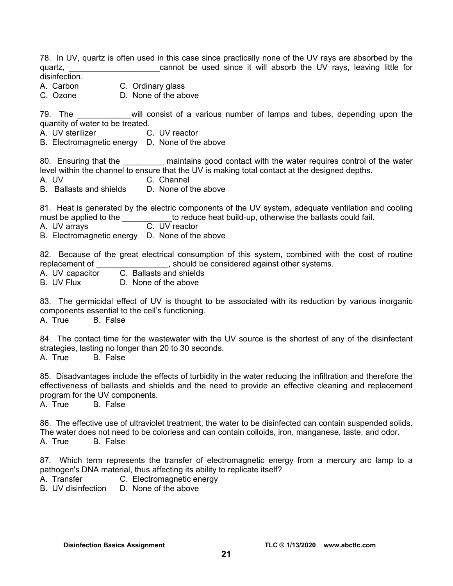78. In UV, quartz is often used in this case since practically none of the UV rays are absorbed by the quartz, **the cannot be used since it will absorb the UV rays, leaving little for** disinfection.<br>A. Carbon

- C. Ordinary glass
- C. Ozone D. None of the above

79. The **the will consist of a various number of lamps and tubes, depending upon the** quantity of water to be treated.

- A. UV sterilizer C. UV reactor
- B. Electromagnetic energy D. None of the above

80. Ensuring that the maintains good contact with the water requires control of the water level within the channel to ensure that the UV is making total contact at the designed depths.

- A. UV C. Channel
- B. Ballasts and shields D. None of the above

81. Heat is generated by the electric components of the UV system, adequate ventilation and cooling must be applied to the \_\_\_\_\_\_\_\_\_\_to reduce heat build-up, otherwise the ballasts could fail.

- A. UV arrays **C. UV reactor**
- B. Electromagnetic energy D. None of the above

82. Because of the great electrical consumption of this system, combined with the cost of routine replacement of \_\_\_\_\_\_\_\_\_\_\_\_\_\_\_\_, should be considered against other systems.

- A. UV capacitor C. Ballasts and shields
- B. UV Flux D. None of the above

83. The germicidal effect of UV is thought to be associated with its reduction by various inorganic components essential to the cell's functioning.

A. True B. False

84. The contact time for the wastewater with the UV source is the shortest of any of the disinfectant strategies, lasting no longer than 20 to 30 seconds.

A. True B. False

85. Disadvantages include the effects of turbidity in the water reducing the infiltration and therefore the effectiveness of ballasts and shields and the need to provide an effective cleaning and replacement program for the UV components.

A. True B. False

86. The effective use of ultraviolet treatment, the water to be disinfected can contain suspended solids. The water does not need to be colorless and can contain colloids, iron, manganese, taste, and odor. A. True B. False

87. Which term represents the transfer of electromagnetic energy from a mercury arc lamp to a pathogen's DNA material, thus affecting its ability to replicate itself?

A. Transfer **C. Electromagnetic energy** 

B. UV disinfection D. None of the above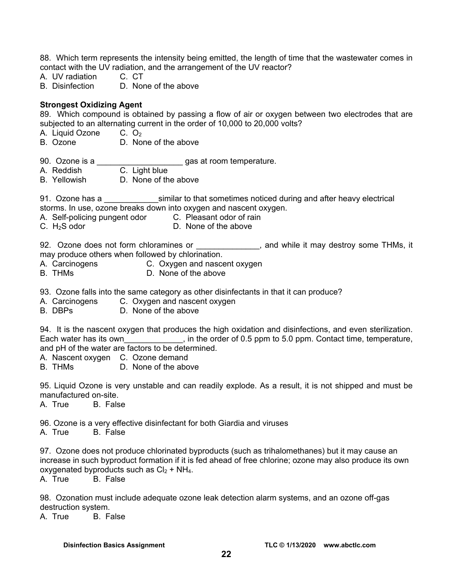88. Which term represents the intensity being emitted, the length of time that the wastewater comes in contact with the UV radiation, and the arrangement of the UV reactor?

- A. UV radiation C. CT
- B. Disinfection D. None of the above

## **Strongest Oxidizing Agent**

89. Which compound is obtained by passing a flow of air or oxygen between two electrodes that are subjected to an alternating current in the order of 10,000 to 20,000 volts?

- A. Liquid Ozone  $C. O<sub>2</sub>$
- B. Ozone D. None of the above

90. Ozone is a \_\_\_\_\_\_\_\_\_\_\_\_\_\_\_\_\_\_\_\_\_\_gas at room temperature.

- A. Reddish C. Light blue
- B. Yellowish D. None of the above

91. Ozone has a similar to that sometimes noticed during and after heavy electrical storms. In use, ozone breaks down into oxygen and nascent oxygen.

- A. Self-policing pungent odor C. Pleasant odor of rain
- $C. H<sub>2</sub>S$  odor  $D.$  None of the above

92. Ozone does not form chloramines or \_\_\_\_\_\_\_\_\_\_\_\_\_\_, and while it may destroy some THMs, it may produce others when followed by chlorination.

- A. Carcinogens C. Oxygen and nascent oxygen
- B. THMs D. None of the above

93. Ozone falls into the same category as other disinfectants in that it can produce?<br>A. Carcinogens C. Oxygen and nascent oxygen

- C. Oxygen and nascent oxygen
- B. DBPs D. None of the above

94. It is the nascent oxygen that produces the high oxidation and disinfections, and even sterilization. Each water has its own \_\_\_\_\_\_\_\_\_\_\_\_, in the order of 0.5 ppm to 5.0 ppm. Contact time, temperature, and pH of the water are factors to be determined.

A. Nascent oxygen C. Ozone demand

B. THMs D. None of the above

95. Liquid Ozone is very unstable and can readily explode. As a result, it is not shipped and must be manufactured on-site.

A. True B. False

96. Ozone is a very effective disinfectant for both Giardia and viruses

A. True B. False

97. Ozone does not produce chlorinated byproducts (such as trihalomethanes) but it may cause an increase in such byproduct formation if it is fed ahead of free chlorine; ozone may also produce its own oxygenated byproducts such as  $Cl<sub>2</sub> + NH<sub>4</sub>$ .

A. True B. False

98. Ozonation must include adequate ozone leak detection alarm systems, and an ozone off-gas destruction system.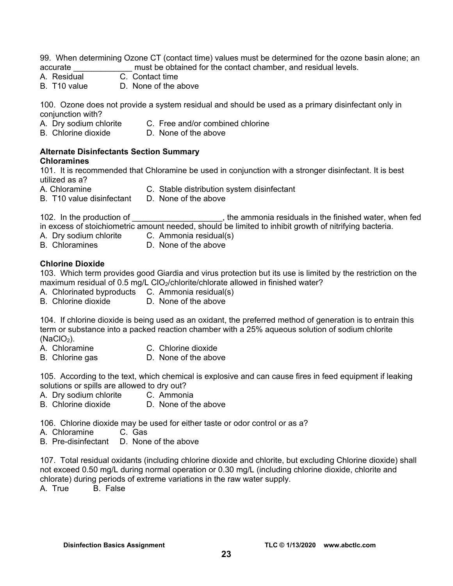99. When determining Ozone CT (contact time) values must be determined for the ozone basin alone; an accurate \_\_\_\_\_\_\_\_\_\_\_\_\_ must be obtained for the contact chamber, and residual levels.

- A. Residual C. Contact time
- B. T10 value D. None of the above

100. Ozone does not provide a system residual and should be used as a primary disinfectant only in conjunction with?

- A. Dry sodium chlorite C. Free and/or combined chlorine
- B. Chlorine dioxide D. None of the above

#### **Alternate Disinfectants Section Summary Chloramines**

101. It is recommended that Chloramine be used in conjunction with a stronger disinfectant. It is best utilized as a?

- A. Chloramine C. Stable distribution system disinfectant
- B. T10 value disinfectant D. None of the above

102. In the production of **Example 2018**, the ammonia residuals in the finished water, when fed in excess of stoichiometric amount needed, should be limited to inhibit growth of nitrifying bacteria.

- A. Dry sodium chlorite C. Ammonia residual(s)
- B. Chloramines D. None of the above

## **Chlorine Dioxide**

103. Which term provides good Giardia and virus protection but its use is limited by the restriction on the maximum residual of 0.5 mg/L CIO<sub>2</sub>/chlorite/chlorate allowed in finished water?

- A. Chlorinated byproducts C. Ammonia residual(s)
- B. Chlorine dioxide D. None of the above

104. If chlorine dioxide is being used as an oxidant, the preferred method of generation is to entrain this term or substance into a packed reaction chamber with a 25% aqueous solution of sodium chlorite  $(NaClO<sub>2</sub>)$ .

- A. Chloramine C. Chlorine dioxide
- B. Chlorine gas **D.** None of the above

105. According to the text, which chemical is explosive and can cause fires in feed equipment if leaking solutions or spills are allowed to dry out?

- A. Dry sodium chlorite C. Ammonia
- B. Chlorine dioxide D. None of the above

106. Chlorine dioxide may be used for either taste or odor control or as a?

- A. Chloramine C. Gas
- B. Pre-disinfectant D. None of the above

107. Total residual oxidants (including chlorine dioxide and chlorite, but excluding Chlorine dioxide) shall not exceed 0.50 mg/L during normal operation or 0.30 mg/L (including chlorine dioxide, chlorite and chlorate) during periods of extreme variations in the raw water supply.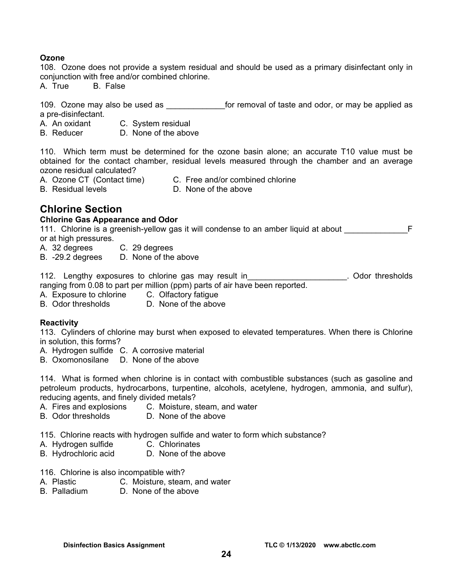## **Ozone**

108. Ozone does not provide a system residual and should be used as a primary disinfectant only in conjunction with free and/or combined chlorine.

A. True B. False

109. Ozone may also be used as **the end of taste and odor**, or may be applied as a pre-disinfectant.

- A. An oxidant C. System residual
- B. Reducer D. None of the above

110. Which term must be determined for the ozone basin alone; an accurate T10 value must be obtained for the contact chamber, residual levels measured through the chamber and an average ozone residual calculated?

- A. Ozone CT (Contact time) C. Free and/or combined chlorine
- B. Residual levels **D.** None of the above

# **Chlorine Section**

## **Chlorine Gas Appearance and Odor**

111. Chlorine is a greenish-yellow gas it will condense to an amber liquid at about F or at high pressures.

- A. 32 degrees C. 29 degrees
- B. -29.2 degrees D. None of the above

112. Lengthy exposures to chlorine gas may result in\_\_\_\_\_\_\_\_\_\_\_\_\_\_\_\_\_\_\_\_\_. Odor thresholds ranging from 0.08 to part per million (ppm) parts of air have been reported.

- A. Exposure to chlorine C. Olfactory fatigue
- B. Odor thresholds D. None of the above

## **Reactivity**

113. Cylinders of chlorine may burst when exposed to elevated temperatures. When there is Chlorine in solution, this forms?

- A. Hydrogen sulfide C. A corrosive material
- B. Oxomonosilane D. None of the above

114. What is formed when chlorine is in contact with combustible substances (such as gasoline and petroleum products, hydrocarbons, turpentine, alcohols, acetylene, hydrogen, ammonia, and sulfur), reducing agents, and finely divided metals?

- A. Fires and explosions C. Moisture, steam, and water
- B. Odor thresholds D. None of the above

115. Chlorine reacts with hydrogen sulfide and water to form which substance?<br>A. Hydrogen sulfide **C.** Chlorinates

- A. Hydrogen sulfide
- B. Hydrochloric acid D. None of the above
- 116. Chlorine is also incompatible with?
- A. Plastic C. Moisture, steam, and water
- B. Palladium D. None of the above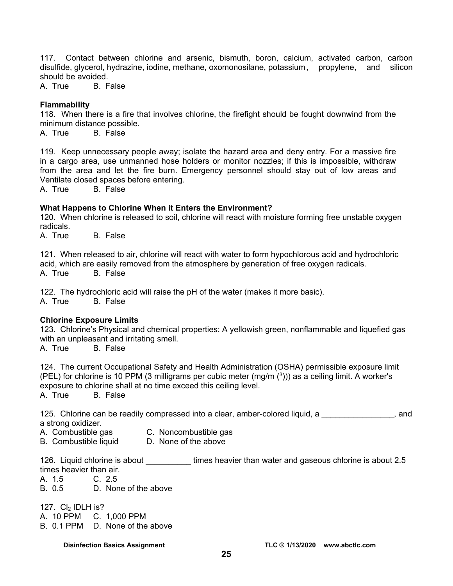117. Contact between chlorine and arsenic, bismuth, boron, calcium, activated carbon, carbon disulfide, glycerol, hydrazine, iodine, methane, oxomonosilane, potassium , propylene, and silicon should be avoided.<br>A. True B. F

**B.** False

#### **Flammability**

118. When there is a fire that involves chlorine, the firefight should be fought downwind from the minimum distance possible.

A. True B. False

119. Keep unnecessary people away; isolate the hazard area and deny entry. For a massive fire in a cargo area, use unmanned hose holders or monitor nozzles; if this is impossible, withdraw from the area and let the fire burn. Emergency personnel should stay out of low areas and Ventilate closed spaces before entering.

A. True B. False

#### **What Happens to Chlorine When it Enters the Environment?**

120. When chlorine is released to soil, chlorine will react with moisture forming free unstable oxygen radicals.

A. True B. False

121. When released to air, chlorine will react with water to form hypochlorous acid and hydrochloric acid, which are easily removed from the atmosphere by generation of free oxygen radicals.

A. True B. False

122. The hydrochloric acid will raise the pH of the water (makes it more basic).

A. True B. False

#### **Chlorine Exposure Limits**

123. Chlorine's Physical and chemical properties: A yellowish green, nonflammable and liquefied gas with an unpleasant and irritating smell.

A. True B. False

124. The current Occupational Safety and Health Administration (OSHA) permissible exposure limit (PEL) for chlorine is 10 PPM (3 milligrams per cubic meter  $(mg/m<sup>(3)</sup>)$ ) as a ceiling limit. A worker's exposure to chlorine shall at no time exceed this ceiling level.

A. True B. False

125. Chlorine can be readily compressed into a clear, amber-colored liquid, a \_\_\_\_\_\_\_\_\_\_\_\_\_\_\_\_, and a strong oxidizer.

A. Combustible gas C. Noncombustible gas<br>B. Combustible liquid D. None of the above B. Combustible liquid

126. Liquid chlorine is about times heavier than water and gaseous chlorine is about 2.5 times heavier than air.

- A. 1.5 C. 2.5
- B. 0.5 D. None of the above

127.  $Cl<sub>2</sub>$  IDLH is?

A. 10 PPM C. 1,000 PPM

B. 0.1 PPM D. None of the above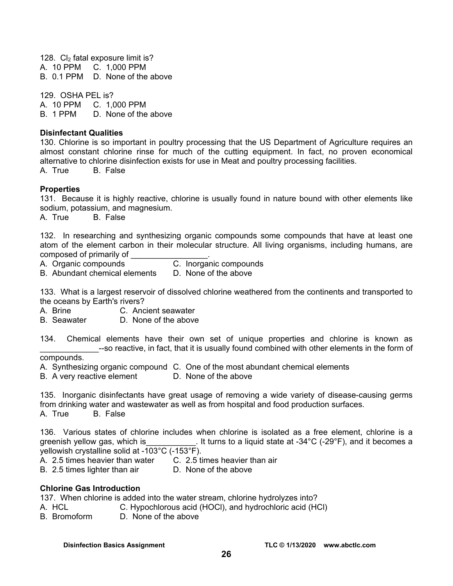128.  $Cl<sub>2</sub>$  fatal exposure limit is? A. 10 PPM C. 1,000 PPM B. 0.1 PPM D. None of the above

129. OSHA PEL is? A. 10 PPM C. 1,000 PPM B. 1 PPM D. None of the above

#### **Disinfectant Qualities**

130. Chlorine is so important in poultry processing that the US Department of Agriculture requires an almost constant chlorine rinse for much of the cutting equipment. In fact, no proven economical alternative to chlorine disinfection exists for use in Meat and poultry processing facilities.

A. True B. False

## **Properties**

131. Because it is highly reactive, chlorine is usually found in nature bound with other elements like sodium, potassium, and magnesium.

A. True B. False

132. In researching and synthesizing organic compounds some compounds that have at least one atom of the element carbon in their molecular structure. All living organisms, including humans, are composed of primarily of

A. Organic compounds C. Inorganic compounds

B. Abundant chemical elements D. None of the above

133. What is a largest reservoir of dissolved chlorine weathered from the continents and transported to the oceans by Earth's rivers?

A. Brine C. Ancient seawater

B. Seawater D. None of the above

134. Chemical elements have their own set of unique properties and chlorine is known as \_\_\_\_\_\_\_\_\_\_\_\_\_--so reactive, in fact, that it is usually found combined with other elements in the form of compounds.

A. Synthesizing organic compound C. One of the most abundant chemical elements

B. A very reactive element D. None of the above

135. Inorganic disinfectants have great usage of removing a wide variety of disease-causing germs from drinking water and wastewater as well as from hospital and food production surfaces. A. True B. False

136. Various states of chlorine includes when chlorine is isolated as a free element, chlorine is a greenish yellow gas, which is  $\qquad \qquad$  It turns to a liquid state at -34°C (-29°F), and it becomes a

yellowish crystalline solid at -103°C (-153°F).

A. 2.5 times heavier than water C. 2.5 times heavier than air

B. 2.5 times lighter than air D. None of the above

## **Chlorine Gas Introduction**

137. When chlorine is added into the water stream, chlorine hydrolyzes into?

- A. HCL C. Hypochlorous acid (HOCl), and hydrochloric acid (HCl)
- B. Bromoform D. None of the above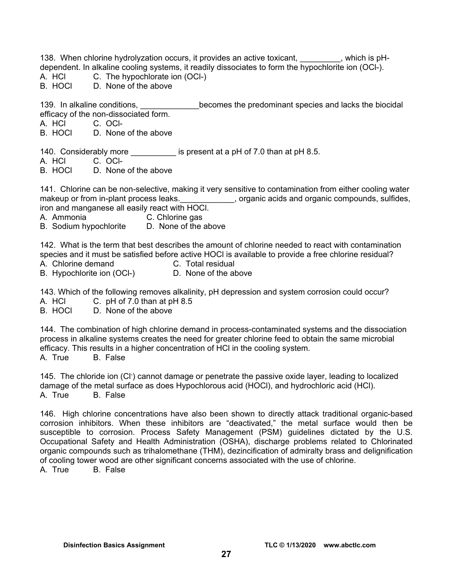138. When chlorine hydrolyzation occurs, it provides an active toxicant, \_\_\_\_\_\_\_\_\_, which is pHdependent. In alkaline cooling systems, it readily dissociates to form the hypochlorite ion (OCl-).

- A. HCl C. The hypochlorate ion (OCl-)<br>B. HOCl D. None of the above
- D. None of the above

139. In alkaline conditions, example 20 becomes the predominant species and lacks the biocidal efficacy of the non-dissociated form.

A. HCl C. OCl-

B. HOCl D. None of the above

140. Considerably more **the is present at a pH of 7.0 than at pH 8.5.** 

- A. HCl C. OCl-
- B. HOCl D. None of the above

141. Chlorine can be non-selective, making it very sensitive to contamination from either cooling water makeup or from in-plant process leaks.<br>\_\_\_\_\_\_\_\_\_\_\_\_\_\_\_\_, organic acids and organic compounds, sulfides,

iron and manganese all easily react with HOCl.

- A. Ammonia C. Chlorine gas
- B. Sodium hypochlorite D. None of the above

142. What is the term that best describes the amount of chlorine needed to react with contamination species and it must be satisfied before active HOCl is available to provide a free chlorine residual?

- A. Chlorine demand C. Total residual
- B. Hypochlorite ion (OCI-) D. None of the above

143. Which of the following removes alkalinity, pH depression and system corrosion could occur?

A. HCl C. pH of 7.0 than at pH 8.5

B. HOCl D. None of the above

144. The combination of high chlorine demand in process-contaminated systems and the dissociation process in alkaline systems creates the need for greater chlorine feed to obtain the same microbial efficacy. This results in a higher concentration of HCl in the cooling system.

A. True B. False

145. The chloride ion (Cl- ) cannot damage or penetrate the passive oxide layer, leading to localized damage of the metal surface as does Hypochlorous acid (HOCl), and hydrochloric acid (HCl). A. True B. False

146. High chlorine concentrations have also been shown to directly attack traditional organic-based corrosion inhibitors. When these inhibitors are "deactivated," the metal surface would then be susceptible to corrosion. Process Safety Management (PSM) guidelines dictated by the U.S. Occupational Safety and Health Administration (OSHA), discharge problems related to Chlorinated organic compounds such as trihalomethane (THM), dezincification of admiralty brass and delignification of cooling tower wood are other significant concerns associated with the use of chlorine.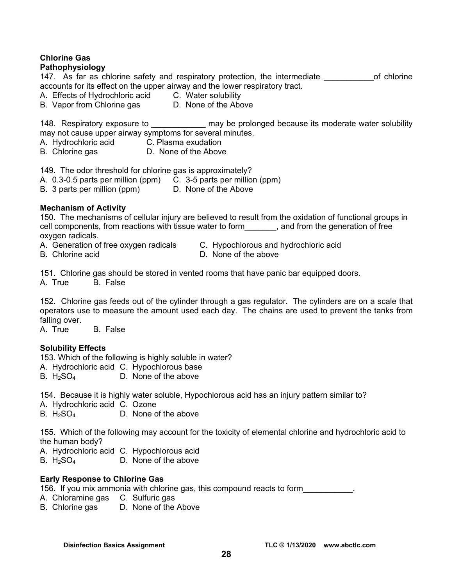#### **Chlorine Gas Pathophysiology**

147. As far as chlorine safety and respiratory protection, the intermediate on the of chlorine accounts for its effect on the upper airway and the lower respiratory tract.

A. Effects of Hydrochloric acid C. Water solubility

B. Vapor from Chlorine gas D. None of the Above

148. Respiratory exposure to **the summary be prolonged because its moderate water solubility** may not cause upper airway symptoms for several minutes.

- A. Hydrochloric acid C. Plasma exudation
- B. Chlorine gas **D. None of the Above**

149. The odor threshold for chlorine gas is approximately?

- A. 0.3-0.5 parts per million (ppm) C. 3-5 parts per million (ppm)
- B. 3 parts per million (ppm) D. None of the Above

# **Mechanism of Activity**

150. The mechanisms of cellular injury are believed to result from the oxidation of functional groups in cell components, from reactions with tissue water to form\_\_\_\_\_\_\_, and from the generation of free oxygen radicals.

- A. Generation of free oxygen radicals C. Hypochlorous and hydrochloric acid
- 
- 
- B. Chlorine acid **D.** None of the above

151. Chlorine gas should be stored in vented rooms that have panic bar equipped doors.

A. True B. False

152. Chlorine gas feeds out of the cylinder through a gas regulator. The cylinders are on a scale that operators use to measure the amount used each day. The chains are used to prevent the tanks from falling over.

A. True B. False

# **Solubility Effects**

153. Which of the following is highly soluble in water?

- A. Hydrochloric acid C. Hypochlorous base
- B.  $H_2SO_4$  D. None of the above

154. Because it is highly water soluble, Hypochlorous acid has an injury pattern similar to?

A. Hydrochloric acid C. Ozone

B.  $H_2SO_4$  D. None of the above

155. Which of the following may account for the toxicity of elemental chlorine and hydrochloric acid to the human body?

- A. Hydrochloric acid C. Hypochlorous acid
- B.  $H_2SO_4$  D. None of the above

# **Early Response to Chlorine Gas**

156. If you mix ammonia with chlorine gas, this compound reacts to form\_\_\_\_\_\_\_\_\_\_\_.

- A. Chloramine gas C. Sulfuric gas
- B. Chlorine gas D. None of the Above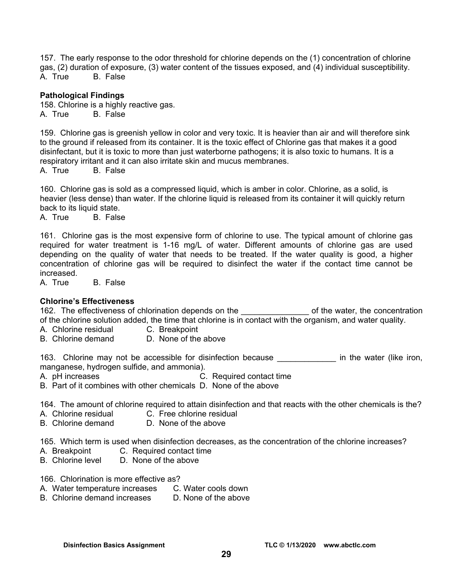157. The early response to the odor threshold for chlorine depends on the (1) concentration of chlorine gas, (2) duration of exposure, (3) water content of the tissues exposed, and (4) individual susceptibility. A. True B. False

## **Pathological Findings**

158. Chlorine is a highly reactive gas. A. True B. False

159. Chlorine gas is greenish yellow in color and very toxic. It is heavier than air and will therefore sink to the ground if released from its container. It is the toxic effect of Chlorine gas that makes it a good disinfectant, but it is toxic to more than just waterborne pathogens; it is also toxic to humans. It is a respiratory irritant and it can also irritate skin and mucus membranes.

A. True B. False

160. Chlorine gas is sold as a compressed liquid, which is amber in color. Chlorine, as a solid, is heavier (less dense) than water. If the chlorine liquid is released from its container it will quickly return back to its liquid state.

A. True B. False

161. Chlorine gas is the most expensive form of chlorine to use. The typical amount of chlorine gas required for water treatment is 1-16 mg/L of water. Different amounts of chlorine gas are used depending on the quality of water that needs to be treated. If the water quality is good, a higher concentration of chlorine gas will be required to disinfect the water if the contact time cannot be increased.

A. True B. False

## **Chlorine's Effectiveness**

162. The effectiveness of chlorination depends on the \_\_\_\_\_\_\_\_\_\_\_\_\_\_\_\_\_\_\_\_ of the water, the concentration of the chlorine solution added, the time that chlorine is in contact with the organism, and water quality.

- A. Chlorine residual C. Breakpoint
- B. Chlorine demand D. None of the above

163. Chlorine may not be accessible for disinfection because **the entity in the water (like iron**, manganese, hydrogen sulfide, and ammonia).

A. pH increases C. Required contact time

B. Part of it combines with other chemicals D. None of the above

164. The amount of chlorine required to attain disinfection and that reacts with the other chemicals is the?

- A. Chlorine residual C. Free chlorine residual
- B. Chlorine demand D. None of the above

165. Which term is used when disinfection decreases, as the concentration of the chlorine increases?

- A. Breakpoint C. Required contact time
- B. Chlorine level D. None of the above

166. Chlorination is more effective as?

- A. Water temperature increases C. Water cools down
- B. Chlorine demand increases D. None of the above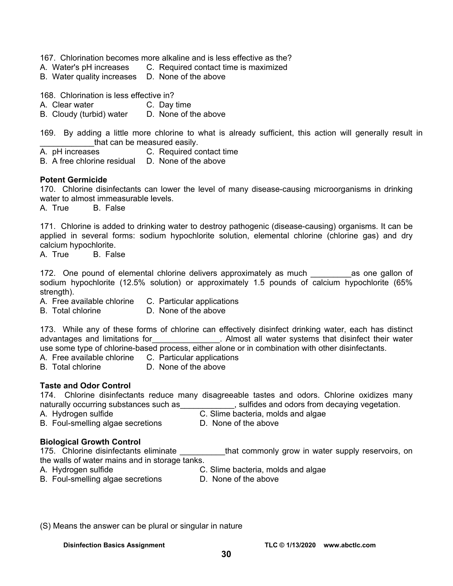167. Chlorination becomes more alkaline and is less effective as the?

- A. Water's pH increases C. Required contact time is maximized
- B. Water quality increases D. None of the above
- 168. Chlorination is less effective in?
- A. Clear water C. Day time
- B. Cloudy (turbid) water D. None of the above

169. By adding a little more chlorine to what is already sufficient, this action will generally result in that can be measured easily.<br>A. pH increases C. Required co

- C. Required contact time
- B. A free chlorine residual D. None of the above

#### **Potent Germicide**

170. Chlorine disinfectants can lower the level of many disease-causing microorganisms in drinking water to almost immeasurable levels.

A. True B. False

171. Chlorine is added to drinking water to destroy pathogenic (disease-causing) organisms. It can be applied in several forms: sodium hypochlorite solution, elemental chlorine (chlorine gas) and dry calcium hypochlorite.

A. True B. False

172. One pound of elemental chlorine delivers approximately as much \_\_\_\_\_\_\_\_\_\_\_\_ as one gallon of sodium hypochlorite (12.5% solution) or approximately 1.5 pounds of calcium hypochlorite (65% strength).

- A. Free available chlorine C. Particular applications
- B. Total chlorine D. None of the above

173. While any of these forms of chlorine can effectively disinfect drinking water, each has distinct advantages and limitations for\_\_\_\_\_\_\_\_\_\_\_\_\_\_\_\_. Almost all water systems that disinfect their water use some type of chlorine-based process, either alone or in combination with other disinfectants.

- A. Free available chlorine C. Particular applications<br>B. Total chlorine B. None of the above
- D. None of the above

## **Taste and Odor Control**

174. Chlorine disinfectants reduce many disagreeable tastes and odors. Chlorine oxidizes many naturally occurring substances such as  $\qquad \qquad$ , sulfides and odors from decaying vegetation.

- 
- A. Hydrogen sulfide C. Slime bacteria, molds and algae
- B. Foul-smelling algae secretions D. None of the above
- 

## **Biological Growth Control**

175. Chlorine disinfectants eliminate **that commonly grow in water supply reservoirs**, on the walls of water mains and in storage tanks.

- A. Hydrogen sulfide C. Slime bacteria, molds and algae
- B. Foul-smelling algae secretions D. None of the above
- (S) Means the answer can be plural or singular in nature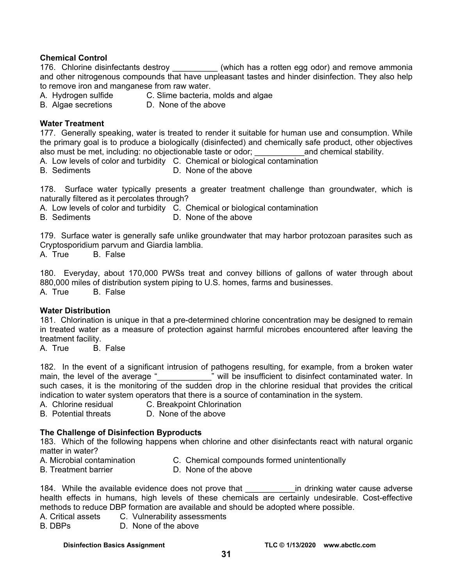#### **Chemical Control**

176. Chlorine disinfectants destroy \_\_\_\_\_\_\_\_\_\_\_ (which has a rotten egg odor) and remove ammonia and other nitrogenous compounds that have unpleasant tastes and hinder disinfection. They also help to remove iron and manganese from raw water.

- A. Hydrogen sulfide C. Slime bacteria, molds and algae
- 
- B. Algae secretions D. None of the above

#### **Water Treatment**

177. Generally speaking, water is treated to render it suitable for human use and consumption. While the primary goal is to produce a biologically (disinfected) and chemically safe product, other objectives also must be met, including: no objectionable taste or odor; entity and chemical stability.

- A. Low levels of color and turbidity C. Chemical or biological contamination
- B. Sediments D. None of the above

178. Surface water typically presents a greater treatment challenge than groundwater, which is naturally filtered as it percolates through?

A. Low levels of color and turbidity C. Chemical or biological contamination

B. Sediments D. None of the above

179. Surface water is generally safe unlike groundwater that may harbor protozoan parasites such as Cryptosporidium parvum and Giardia lamblia.

A. True B. False

180. Everyday, about 170,000 PWSs treat and convey billions of gallons of water through about 880,000 miles of distribution system piping to U.S. homes, farms and businesses. A. True B. False

#### **Water Distribution**

181. Chlorination is unique in that a pre-determined chlorine concentration may be designed to remain in treated water as a measure of protection against harmful microbes encountered after leaving the treatment facility.

A. True B. False

182. In the event of a significant intrusion of pathogens resulting, for example, from a broken water main, the level of the average "\_\_\_\_\_\_\_\_\_\_\_\_\_" will be insufficient to disinfect contaminated water. In such cases, it is the monitoring of the sudden drop in the chlorine residual that provides the critical indication to water system operators that there is a source of contamination in the system.

- A. Chlorine residual C. Breakpoint Chlorination
- B. Potential threats D. None of the above

#### **The Challenge of Disinfection Byproducts**

183. Which of the following happens when chlorine and other disinfectants react with natural organic matter in water?

- A. Microbial contamination C. Chemical compounds formed unintentionally
- B. Treatment barrier **D. None of the above**

184. While the available evidence does not prove that The Marinking water cause adverse health effects in humans, high levels of these chemicals are certainly undesirable. Cost-effective methods to reduce DBP formation are available and should be adopted where possible.

- A. Critical assets C. Vulnerability assessments
- B. DBPs D. None of the above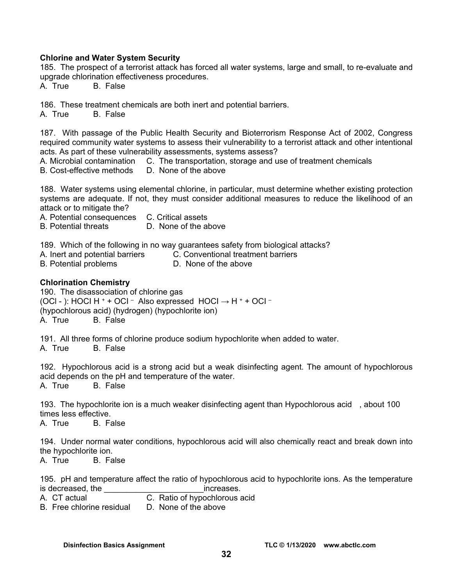#### **Chlorine and Water System Security**

185. The prospect of a terrorist attack has forced all water systems, large and small, to re-evaluate and upgrade chlorination effectiveness procedures.

A. True B. False

186. These treatment chemicals are both inert and potential barriers.

A. True B. False

187. With passage of the Public Health Security and Bioterrorism Response Act of 2002, Congress required community water systems to assess their vulnerability to a terrorist attack and other intentional acts. As part of these vulnerability assessments, systems assess?

A. Microbial contamination C. The transportation, storage and use of treatment chemicals

B. Cost-effective methods D. None of the above

188. Water systems using elemental chlorine, in particular, must determine whether existing protection systems are adequate. If not, they must consider additional measures to reduce the likelihood of an attack or to mitigate the?

A. Potential consequences C. Critical assets

B. Potential threats D. None of the above

189. Which of the following in no way guarantees safety from biological attacks?

A. Inert and potential barriers C. Conventional treatment barriers

B. Potential problems D. None of the above

#### **Chlorination Chemistry**

190. The disassociation of chlorine gas (OCl - ): HOCl H  $^+$  + OCl  $^-$  Also expressed HOCl  $\rightarrow$  H  $^+$  + OCl  $^-$ (hypochlorous acid) (hydrogen) (hypochlorite ion) A. True B. False 191. All three forms of chlorine produce sodium hypochlorite when added to water. A. True B. False 192. Hypochlorous acid is a strong acid but a weak disinfecting agent. The amount of hypochlorous acid depends on the pH and temperature of the water. A. True B. False

193. The hypochlorite ion is a much weaker disinfecting agent than Hypochlorous acid , about 100 times less effective.

A. True B. False

194. Under normal water conditions, hypochlorous acid will also chemically react and break down into the hypochlorite ion.

A. True B. False

195. pH and temperature affect the ratio of hypochlorous acid to hypochlorite ions. As the temperature is decreased, the **interest increases**.

A. CT actual **C.** Ratio of hypochlorous acid

B. Free chlorine residual D. None of the above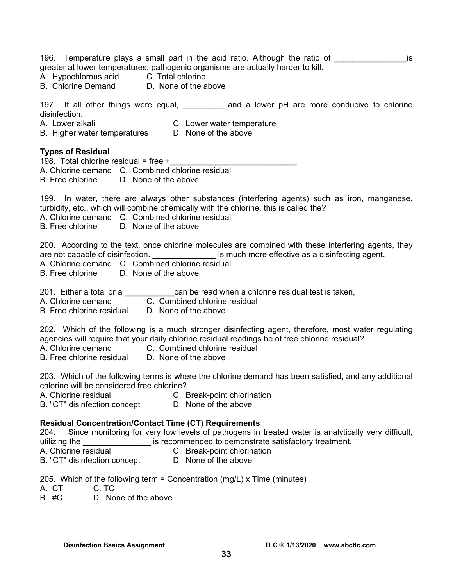| 196. Temperature plays a small part in the acid ratio. Although the ratio of _______________________<br>is<br>greater at lower temperatures, pathogenic organisms are actually harder to kill.<br>A. Hypochlorous acid C. Total chlorine<br>B. Chlorine Demand D. None of the above                                                                                              |
|----------------------------------------------------------------------------------------------------------------------------------------------------------------------------------------------------------------------------------------------------------------------------------------------------------------------------------------------------------------------------------|
| 197. If all other things were equal, __________ and a lower pH are more conducive to chlorine<br>disinfection.<br>A. Lower alkali C. Lower water temperature<br>B. Higher water temperatures D. None of the above                                                                                                                                                                |
| <b>Types of Residual</b><br>198. Total chlorine residual = free $+$<br>A. Chlorine demand C. Combined chlorine residual<br>B. Free chlorine D. None of the above                                                                                                                                                                                                                 |
| 199. In water, there are always other substances (interfering agents) such as iron, manganese,<br>turbidity, etc., which will combine chemically with the chlorine, this is called the?<br>A. Chlorine demand C. Combined chlorine residual<br>B. Free chlorine D. None of the above                                                                                             |
| 200. According to the text, once chlorine molecules are combined with these interfering agents, they<br>are not capable of disinfection. ________________ is much more effective as a disinfecting agent.<br>A. Chlorine demand C. Combined chlorine residual<br>B. Free chlorine D. None of the above                                                                           |
| 201. Either a total or a $\frac{\ }{C}$ can be read when a chlorine residual test is taken,<br>A. Chlorine demand C. Combined chlorine residual<br>B. Free chlorine residual D. None of the above                                                                                                                                                                                |
| 202. Which of the following is a much stronger disinfecting agent, therefore, most water regulating<br>agencies will require that your daily chlorine residual readings be of free chlorine residual?<br>A. Chlorine demand C. Combined chlorine residual<br>B. Free chlorine residual D. None of the above                                                                      |
| 203. Which of the following terms is where the chlorine demand has been satisfied, and any additional<br>chlorine will be considered free chlorine?<br>A. Chlorine residual<br>C. Break-point chlorination<br>B. "CT" disinfection concept<br>D. None of the above                                                                                                               |
| <b>Residual Concentration/Contact Time (CT) Requirements</b><br>Since monitoring for very low levels of pathogens in treated water is analytically very difficult,<br>204.<br>utilizing the __________________ is recommended to demonstrate satisfactory treatment.<br>A. Chlorine residual<br>C. Break-point chlorination<br>B. "CT" disinfection concept D. None of the above |
| 205. Which of the following term = Concentration (mg/L) x Time (minutes)<br>C.TC<br>A. CT                                                                                                                                                                                                                                                                                        |

B. #C D. None of the above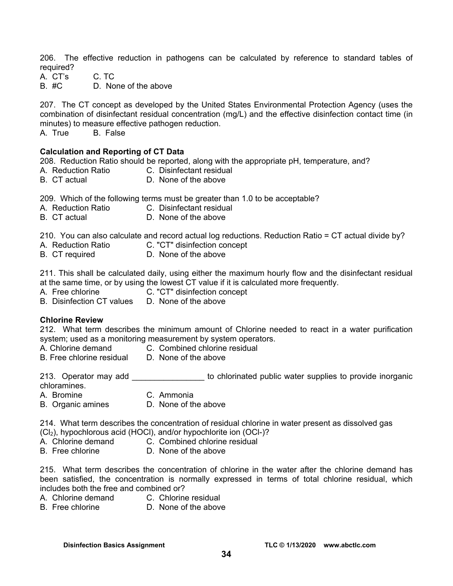206. The effective reduction in pathogens can be calculated by reference to standard tables of required?

A. CT's C. TC<br>B. #C D. No

D. None of the above

207. The CT concept as developed by the United States Environmental Protection Agency (uses the combination of disinfectant residual concentration (mg/L) and the effective disinfection contact time (in minutes) to measure effective pathogen reduction.

A. True B. False

## **Calculation and Reporting of CT Data**

208. Reduction Ratio should be reported, along with the appropriate pH, temperature, and?

- A. Reduction Ratio C. Disinfectant residual
- B. CT actual D. None of the above

209. Which of the following terms must be greater than 1.0 to be acceptable?

- A. Reduction Ratio C. Disinfectant residual
- B. CT actual D. None of the above

210. You can also calculate and record actual log reductions. Reduction Ratio = CT actual divide by?

- A. Reduction Ratio C. "CT" disinfection concept
- B. CT required D. None of the above

211. This shall be calculated daily, using either the maximum hourly flow and the disinfectant residual at the same time, or by using the lowest CT value if it is calculated more frequently.

A. Free chlorine C. "CT" disinfection concept<br>B. Disinfection CT values D. None of the above B. Disinfection CT values

## **Chlorine Review**

212. What term describes the minimum amount of Chlorine needed to react in a water purification system; used as a monitoring measurement by system operators.

- A. Chlorine demand C. Combined chlorine residual
- B. Free chlorine residual  $\Box$  None of the above

213. Operator may add \_\_\_\_\_\_\_\_\_\_\_\_\_\_\_\_\_ to chlorinated public water supplies to provide inorganic chloramines.

- A. Bromine C. Ammonia
- B. Organic amines D. None of the above

214. What term describes the concentration of residual chlorine in water present as dissolved gas

- $(Cl_2)$ , hypochlorous acid (HOCI), and/or hypochlorite ion  $(OCl<sub>-</sub>)$ ?<br>A. Chlorine demand C. Combined chlorine residual C. Combined chlorine residual
- B. Free chlorine D. None of the above
- 215. What term describes the concentration of chlorine in the water after the chlorine demand has been satisfied, the concentration is normally expressed in terms of total chlorine residual, which
- includes both the free and combined or?
- A. Chlorine demand C. Chlorine residual
- B. Free chlorine D. None of the above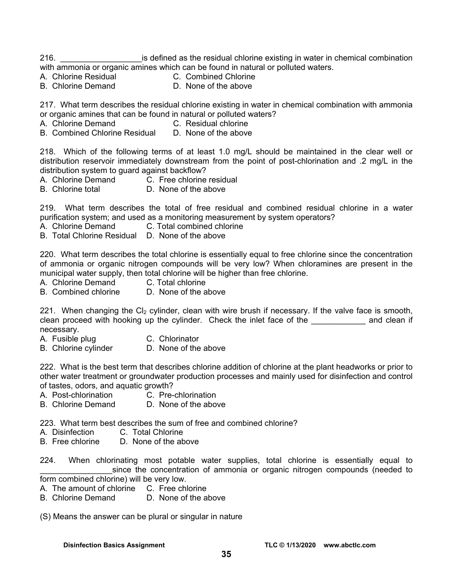216. \_\_\_\_\_\_\_\_\_\_\_\_\_\_\_\_\_\_is defined as the residual chlorine existing in water in chemical combination with ammonia or organic amines which can be found in natural or polluted waters.

- 
- 
- A. Chlorine Residual **C. Combined Chlorine**<br>B. Chlorine Demand **C. Combined Chlorine** D. None of the above

217. What term describes the residual chlorine existing in water in chemical combination with ammonia or organic amines that can be found in natural or polluted waters?

- A. Chlorine Demand C. Residual chlorine
- B. Combined Chlorine Residual D. None of the above

218. Which of the following terms of at least 1.0 mg/L should be maintained in the clear well or distribution reservoir immediately downstream from the point of post-chlorination and .2 mg/L in the distribution system to guard against backflow?

- A. Chlorine Demand C. Free chlorine residual
- B. Chlorine total D. None of the above

219. What term describes the total of free residual and combined residual chlorine in a water purification system; and used as a monitoring measurement by system operators?

- A. Chlorine Demand C. Total combined chlorine
- B. Total Chlorine Residual D. None of the above

220. What term describes the total chlorine is essentially equal to free chlorine since the concentration of ammonia or organic nitrogen compounds will be very low? When chloramines are present in the municipal water supply, then total chlorine will be higher than free chlorine.

A. Chlorine Demand C. Total chlorine

B. Combined chlorine D. None of the above

221. When changing the  $Cl<sub>2</sub>$  cylinder, clean with wire brush if necessary. If the valve face is smooth, clean proceed with hooking up the cylinder. Check the inlet face of the **notation** and clean if necessary.

- A. Fusible plug C. Chlorinator
- B. Chlorine cylinder D. None of the above

222. What is the best term that describes chlorine addition of chlorine at the plant headworks or prior to other water treatment or groundwater production processes and mainly used for disinfection and control of tastes, odors, and aquatic growth?

- A. Post-chlorination C. Pre-chlorination
- B. Chlorine Demand D. None of the above

223. What term best describes the sum of free and combined chlorine?

- A. Disinfection C. Total Chlorine
- B. Free chlorine D. None of the above

224. When chlorinating most potable water supplies, total chlorine is essentially equal to since the concentration of ammonia or organic nitrogen compounds (needed to form combined chlorine) will be very low.

- A. The amount of chlorine C. Free chlorine
- B. Chlorine Demand D. None of the above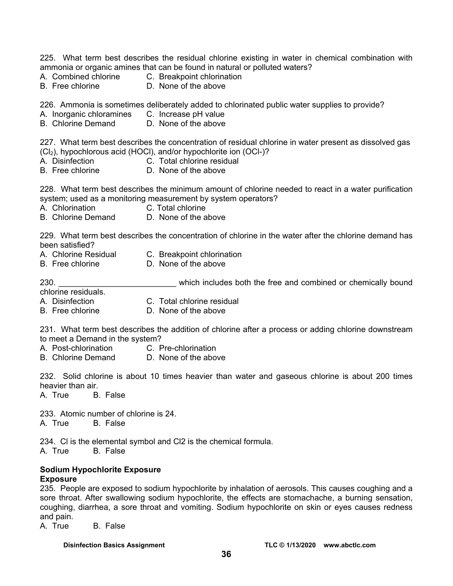225. What term best describes the residual chlorine existing in water in chemical combination with ammonia or organic amines that can be found in natural or polluted waters?

- A. Combined chlorine C. Breakpoint chlorination<br>
B. Free chlorine D. None of the above
- 
- D. None of the above

226. Ammonia is sometimes deliberately added to chlorinated public water supplies to provide?

- A. Inorganic chloramines C. Increase pH value
- B. Chlorine Demand D. None of the above

227. What term best describes the concentration of residual chlorine in water present as dissolved gas (Cl2), hypochlorous acid (HOCl), and/or hypochlorite ion (OCl-)?

- 
- A. Disinfection C. Total chlorine residual
- B. Free chlorine D. None of the above

228. What term best describes the minimum amount of chlorine needed to react in a water purification system; used as a monitoring measurement by system operators?

- A. Chlorination C. Total chlorine
- B. Chlorine Demand D. None of the above

229. What term best describes the concentration of chlorine in the water after the chlorine demand has been satisfied?

- A. Chlorine Residual C. Breakpoint chlorination
- B. Free chlorine D. None of the above

230. **Example 230. 230. Example 230** which includes both the free and combined or chemically bound chlorine residuals.

- A. Disinfection C. Total chlorine residual
- B. Free chlorine D. None of the above

231. What term best describes the addition of chlorine after a process or adding chlorine downstream to meet a Demand in the system?

- A. Post-chlorination C. Pre-chlorination
- B. Chlorine Demand D. None of the above

232. Solid chlorine is about 10 times heavier than water and gaseous chlorine is about 200 times heavier than air.

A. True B. False

233. Atomic number of chlorine is 24. A. True B. False

234. Cl is the elemental symbol and Cl2 is the chemical formula.

A. True B. False

#### **Sodium Hypochlorite Exposure Exposure**

235. People are exposed to sodium hypochlorite by inhalation of aerosols. This causes coughing and a sore throat. After swallowing sodium hypochlorite, the effects are stomachache, a burning sensation, coughing, diarrhea, a sore throat and vomiting. Sodium hypochlorite on skin or eyes causes redness and pain.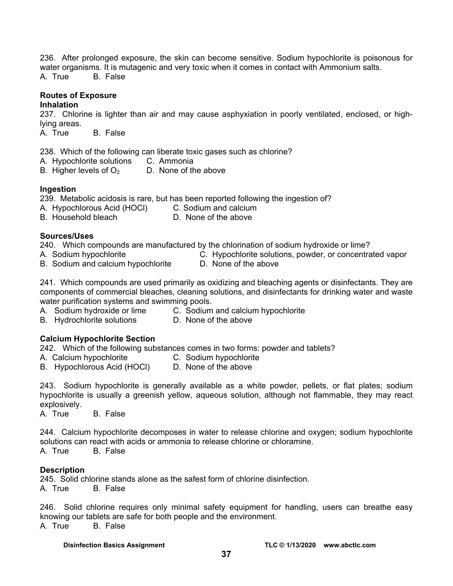236. After prolonged exposure, the skin can become sensitive. Sodium hypochlorite is poisonous for water organisms. It is mutagenic and very toxic when it comes in contact with Ammonium salts. A. True B. False

# **Routes of Exposure**

**Inhalation** 

237. Chlorine is lighter than air and may cause asphyxiation in poorly ventilated, enclosed, or highlying areas.

A. True B. False

238. Which of the following can liberate toxic gases such as chlorine?

- A. Hypochlorite solutions C. Ammonia
- B. Higher levels of  $O<sub>2</sub>$  D. None of the above

# **Ingestion**

239. Metabolic acidosis is rare, but has been reported following the ingestion of?

- A. Hypochlorous Acid (HOCl) C. Sodium and calcium
- B. Household bleach D. None of the above

# **Sources/Uses**

240. Which compounds are manufactured by the chlorination of sodium hydroxide or lime?

- A. Sodium hypochlorite C. Hypochlorite solutions, powder, or concentrated vapor
- B. Sodium and calcium hypochlorite D. None of the above
- 241. Which compounds are used primarily as oxidizing and bleaching agents or disinfectants. They are components of commercial bleaches, cleaning solutions, and disinfectants for drinking water and waste water purification systems and swimming pools.
- 
- A. Sodium hydroxide or lime C. Sodium and calcium hypochlorite B. Hydrochlorite solutions D. None of the above
- 

# **Calcium Hypochlorite Section**

242.Which of the following substances comes in two forms: powder and tablets?

- 
- A. Calcium hypochlorite C. Sodium hypochlorite<br>
B. Hypochlorous Acid (HOCI) D. None of the above B. Hypochlorous Acid (HOCI)

243. Sodium hypochlorite is generally available as a white powder, pellets, or flat plates; sodium hypochlorite is usually a greenish yellow, aqueous solution, although not flammable, they may react explosively.

A. True B. False

244. Calcium hypochlorite decomposes in water to release chlorine and oxygen; sodium hypochlorite solutions can react with acids or ammonia to release chlorine or chloramine.

A. True B. False

# **Description**

245.Solid chlorine stands alone as the safest form of chlorine disinfection.

A. True B. False

246. Solid chlorine requires only minimal safety equipment for handling, users can breathe easy knowing our tablets are safe for both people and the environment.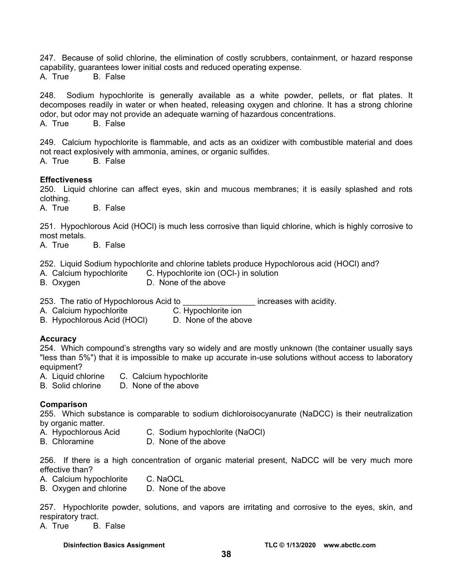247. Because of solid chlorine, the elimination of costly scrubbers, containment, or hazard response capability, guarantees lower initial costs and reduced operating expense.

A. True B. False

248. Sodium hypochlorite is generally available as a white powder, pellets, or flat plates. It decomposes readily in water or when heated, releasing oxygen and chlorine. It has a strong chlorine odor, but odor may not provide an adequate warning of hazardous concentrations. A. True B. False

249. Calcium hypochlorite is flammable, and acts as an oxidizer with combustible material and does not react explosively with ammonia, amines, or organic sulfides.

A. True B. False

## **Effectiveness**

250. Liquid chlorine can affect eyes, skin and mucous membranes; it is easily splashed and rots clothing.

A. True B. False

251. Hypochlorous Acid (HOCl) is much less corrosive than liquid chlorine, which is highly corrosive to most metals.

A. True B. False

252. Liquid Sodium hypochlorite and chlorine tablets produce Hypochlorous acid (HOCl) and?

- A. Calcium hypochlorite C. Hypochlorite ion (OCl-) in solution
- B. Oxygen D. None of the above

253. The ratio of Hypochlorous Acid to the state of the ratio increases with acidity.

- A. Calcium hypochlorite C. Hypochlorite ion
- B. Hypochlorous Acid (HOCI) D. None of the above

## **Accuracy**

254. Which compound's strengths vary so widely and are mostly unknown (the container usually says "less than 5%") that it is impossible to make up accurate in-use solutions without access to laboratory equipment?

- A. Liquid chlorine C. Calcium hypochlorite
- B. Solid chlorine D. None of the above

## **Comparison**

255. Which substance is comparable to sodium dichloroisocyanurate (NaDCC) is their neutralization by organic matter.

- A. Hypochlorous Acid C. Sodium hypochlorite (NaOCl)
- B. Chloramine D. None of the above

256. If there is a high concentration of organic material present, NaDCC will be very much more effective than?

- 
- A. Calcium hypochlorite C. NaOCL<br>B. Oxygen and chlorine D. None of the above B. Oxygen and chlorine

257. Hypochlorite powder, solutions, and vapors are irritating and corrosive to the eyes, skin, and respiratory tract.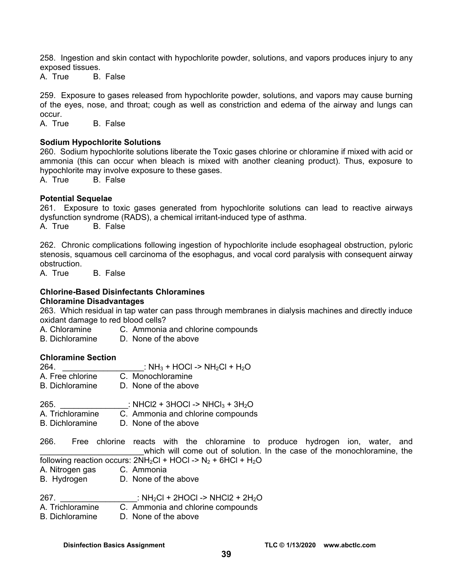258. Ingestion and skin contact with hypochlorite powder, solutions, and vapors produces injury to any exposed tissues.

A. True B. False

259. Exposure to gases released from hypochlorite powder, solutions, and vapors may cause burning of the eyes, nose, and throat; cough as well as constriction and edema of the airway and lungs can occur.

A. True B. False

#### **Sodium Hypochlorite Solutions**

260. Sodium hypochlorite solutions liberate the Toxic gases chlorine or chloramine if mixed with acid or ammonia (this can occur when bleach is mixed with another cleaning product). Thus, exposure to hypochlorite may involve exposure to these gases.

A. True B. False

## **Potential Sequelae**

261.Exposure to toxic gases generated from hypochlorite solutions can lead to reactive airways dysfunction syndrome (RADS), a chemical irritant-induced type of asthma.

A. True B. False

262. Chronic complications following ingestion of hypochlorite include esophageal obstruction, pyloric stenosis, squamous cell carcinoma of the esophagus, and vocal cord paralysis with consequent airway obstruction.

A. True B. False

# **Chlorine-Based Disinfectants Chloramines**

# **Chloramine Disadvantages**

263. Which residual in tap water can pass through membranes in dialysis machines and directly induce oxidant damage to red blood cells?

- A. Chloramine C. Ammonia and chlorine compounds
- B. Dichloramine D. None of the above

#### **Chloramine Section**

| 264.                                               | : $NH3$ + HOCI -> $NH2Cl$ + H <sub>2</sub> O                                                               |
|----------------------------------------------------|------------------------------------------------------------------------------------------------------------|
| A. Free chlorine                                   | C. Monochloramine                                                                                          |
| <b>B.</b> Dichloramine                             | D. None of the above                                                                                       |
| 265.<br>A. Trichloramine<br><b>B.</b> Dichloramine | : NHCl2 + 3HOCl -> NHCl <sub>3</sub> + $3H2O$<br>C. Ammonia and chlorine compounds<br>D. None of the above |
|                                                    |                                                                                                            |

266. Free chlorine reacts with the chloramine to produce hydrogen ion, water, and which will come out of solution. In the case of the monochloramine, the

- following reaction occurs:  $2NH_2Cl + HOCl \geq N_2 + 6HCl + H_2O$ <br>A. Nitrogen gas C. Ammonia A. Nitrogen gas
- B. Hydrogen D. None of the above

| 267. | : NH <sub>2</sub> Cl + 2HOCl -> NHCl2 + 2H <sub>2</sub> O |
|------|-----------------------------------------------------------|
|      |                                                           |

- A. Trichloramine C. Ammonia and chlorine compounds
- B. Dichloramine D. None of the above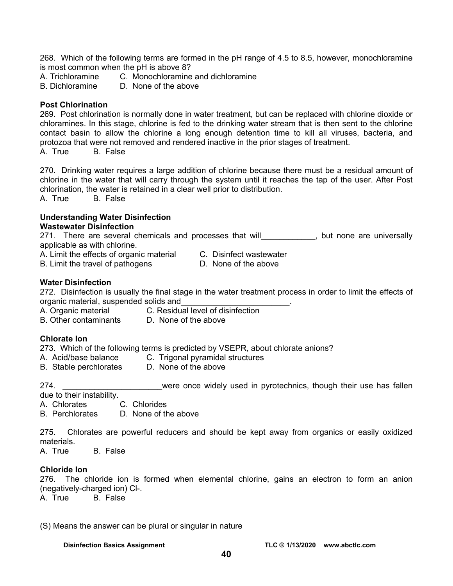268. Which of the following terms are formed in the pH range of 4.5 to 8.5, however, monochloramine is most common when the pH is above 8?

- A. Trichloramine C. Monochloramine and dichloramine
- 

B. Dichloramine D. None of the above

## **Post Chlorination**

269. Post chlorination is normally done in water treatment, but can be replaced with chlorine dioxide or chloramines. In this stage, chlorine is fed to the drinking water stream that is then sent to the chlorine contact basin to allow the chlorine a long enough detention time to kill all viruses, bacteria, and protozoa that were not removed and rendered inactive in the prior stages of treatment.

A. True B. False

270. Drinking water requires a large addition of chlorine because there must be a residual amount of chlorine in the water that will carry through the system until it reaches the tap of the user. After Post chlorination, the water is retained in a clear well prior to distribution.

A. True B. False

# **Understanding Water Disinfection**

## **Wastewater Disinfection**

271. There are several chemicals and processes that will\_\_\_\_\_\_\_\_\_\_\_\_, but none are universally applicable as with chlorine.

- A. Limit the effects of organic material C. Disinfect wastewater
- B. Limit the travel of pathogens D. None of the above
- -

## **Water Disinfection**

272. Disinfection is usually the final stage in the water treatment process in order to limit the effects of organic material, suspended solids and\_\_\_\_\_\_\_\_\_\_\_\_\_\_\_\_\_\_\_\_\_\_\_\_.

- A. Organic material C. Residual level of disinfection
- 
- B. Other contaminants D. None of the above

# **Chlorate Ion**

273. Which of the following terms is predicted by VSEPR, about chlorate anions?

- A. Acid/base balance C. Trigonal pyramidal structures<br>B. Stable perchlorates D. None of the above
- B. Stable perchlorates

274. **Example 274. Example 274.** The same once widely used in pyrotechnics, though their use has fallen due to their instability.

- A. Chlorates C. Chlorides
- B. Perchlorates D. None of the above

275. Chlorates are powerful reducers and should be kept away from organics or easily oxidized materials.

A. True B. False

## **Chloride Ion**

276. The chloride ion is formed when elemental chlorine, gains an electron to form an anion (negatively-charged ion) Cl-.

B. False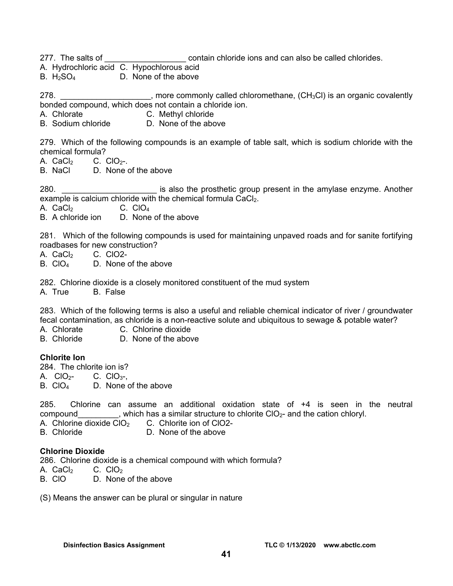277. The salts of \_\_\_\_\_\_\_\_\_\_\_\_\_\_\_\_\_\_\_\_\_\_ contain chloride ions and can also be called chlorides.

A. Hydrochloric acid C. Hypochlorous acid

B.  $H_2SO_4$  D. None of the above

278. \_\_\_\_\_\_\_\_\_\_\_\_\_\_\_\_\_\_\_, more commonly called chloromethane, (CH<sub>3</sub>Cl) is an organic covalently bonded compound, which does not contain a chloride ion.

A. Chlorate C. Methyl chloride

B. Sodium chloride D. None of the above

279. Which of the following compounds is an example of table salt, which is sodium chloride with the chemical formula?

A. Ca $Cl<sub>2</sub>$  C. ClO<sub>2</sub>-.

B. NaCl D. None of the above

280. \_\_\_\_\_\_\_\_\_\_\_\_\_\_\_\_\_\_\_\_\_\_\_\_\_\_\_ is also the prosthetic group present in the amylase enzyme. Another example is calcium chloride with the chemical formula CaCl<sub>2</sub>.

A. Ca $Cl<sub>2</sub>$  C. ClO<sub>4</sub>

B. A chloride ion D. None of the above

281. Which of the following compounds is used for maintaining unpaved roads and for sanite fortifying roadbases for new construction?

- A. CaCl<sub>2</sub> C. CIO2-
- $B.$  ClO<sub>4</sub> D. None of the above

282. Chlorine dioxide is a closely monitored constituent of the mud system

A. True B. False

283. Which of the following terms is also a useful and reliable chemical indicator of river / groundwater fecal contamination, as chloride is a non-reactive solute and ubiquitous to sewage & potable water?

A. Chlorate C. Chlorine dioxide

B. Chloride D. None of the above

## **Chlorite Ion**

284. The chlorite ion is?

A.  $ClO<sub>2</sub>-$  C.  $ClO<sub>3</sub>-$ ,

 $B.$  ClO<sub>4</sub> D. None of the above

285. Chlorine can assume an additional oxidation state of +4 is seen in the neutral compound extending that is which has a similar structure to chlorite  $ClO_{2}$ - and the cation chloryl.

A. Chlorine dioxide  $CIO<sub>2</sub>$  C. Chlorite ion of ClO2-B. Chloride D. None of the above

# **Chlorine Dioxide**

286. Chlorine dioxide is a chemical compound with which formula?

A. CaCl<sub>2</sub> C. ClO<sub>2</sub>

B. CIO D. None of the above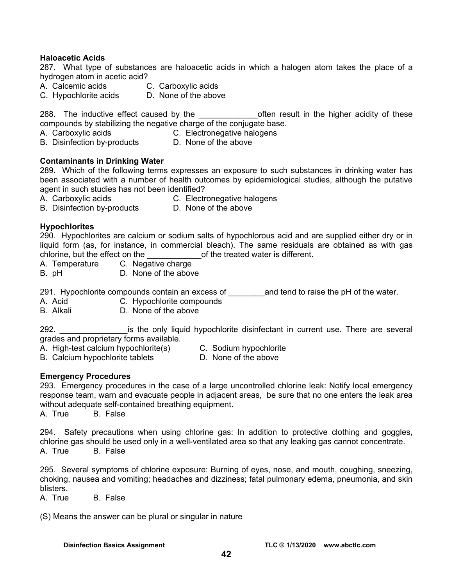## **Haloacetic Acids**

287. What type of substances are haloacetic acids in which a halogen atom takes the place of a hydrogen atom in acetic acid?

- A. Calcemic acids C. Carboxylic acids
- C. Hypochlorite acids D. None of the above

288. The inductive effect caused by the the second often result in the higher acidity of these compounds by stabilizing the negative charge of the conjugate base.

- A. Carboxylic acids **C. Electronegative halogens** 
	-
- B. Disinfection by-products D. None of the above

#### **Contaminants in Drinking Water**

289. Which of the following terms expresses an exposure to such substances in drinking water has been associated with a number of health outcomes by epidemiological studies, although the putative agent in such studies has not been identified?

- A. Carboxylic acids C. Electronegative halogens
- B. Disinfection by-products D. None of the above

## **Hypochlorites**

290. Hypochlorites are calcium or sodium salts of hypochlorous acid and are supplied either dry or in liquid form (as, for instance, in commercial bleach). The same residuals are obtained as with gas chlorine, but the effect on the \_\_\_\_\_\_\_\_\_\_\_\_of the treated water is different.

- A. Temperature C. Negative charge
- B. pH D. None of the above

291. Hypochlorite compounds contain an excess of \_\_\_\_\_\_\_\_\_\_ and tend to raise the pH of the water.

- A. Acid C. Hypochlorite compounds
- B. Alkali D. None of the above

292. **Example 2014** is the only liquid hypochlorite disinfectant in current use. There are several grades and proprietary forms available.

- A. High-test calcium hypochlorite(s) C. Sodium hypochlorite
- B. Calcium hypochlorite tablets D. None of the above
- 

#### **Emergency Procedures**

293. Emergency procedures in the case of a large uncontrolled chlorine leak: Notify local emergency response team, warn and evacuate people in adjacent areas, be sure that no one enters the leak area without adequate self-contained breathing equipment.

A. True B. False

294. Safety precautions when using chlorine gas: In addition to protective clothing and goggles, chlorine gas should be used only in a well-ventilated area so that any leaking gas cannot concentrate. A. True B. False

295. Several symptoms of chlorine exposure: Burning of eyes, nose, and mouth, coughing, sneezing, choking, nausea and vomiting; headaches and dizziness; fatal pulmonary edema, pneumonia, and skin blisters.

A. True B. False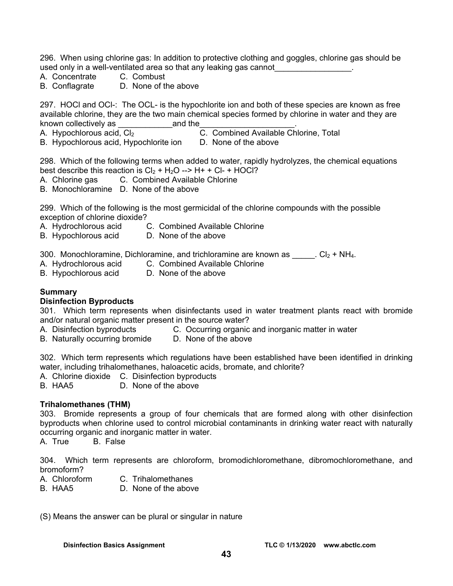296. When using chlorine gas: In addition to protective clothing and goggles, chlorine gas should be used only in a well-ventilated area so that any leaking gas cannot

- A. Concentrate C. Combust<br>B. Conflagrate D. None of the
- D. None of the above

297. HOCl and OCl-: The OCL- is the hypochlorite ion and both of these species are known as free available chlorine, they are the two main chemical species formed by chlorine in water and they are known collectively as **Example 2** and the

- 
- A. Hypochlorous acid, Cl<sub>2</sub> C. Combined Available Chlorine, Total
- B. Hypochlorous acid, Hypochlorite ion D. None of the above

298. Which of the following terms when added to water, rapidly hydrolyzes, the chemical equations best describe this reaction is  $Cl_2 + H_2O \rightarrow H^+ + Cl^- + HOCl$ ?

- A. Chlorine gas C. Combined Available Chlorine
- B. Monochloramine D. None of the above

299. Which of the following is the most germicidal of the chlorine compounds with the possible exception of chlorine dioxide?

- A. Hydrochlorous acid C. Combined Available Chlorine
- B. Hypochlorous acid D. None of the above

300. Monochloramine, Dichloramine, and trichloramine are known as  $Cl_2 + NH_4$ .

- A. Hydrochlorous acid C. Combined Available Chlorine
- B. Hypochlorous acid D. None of the above
- 

## **Summary**

# **Disinfection Byproducts**

301. Which term represents when disinfectants used in water treatment plants react with bromide and/or natural organic matter present in the source water?

- A. Disinfection byproducts **C. Occurring organic and inorganic matter in water**
- B. Naturally occurring bromide D. None of the above

302. Which term represents which regulations have been established have been identified in drinking water, including trihalomethanes, haloacetic acids, bromate, and chlorite?

- A. Chlorine dioxide C. Disinfection byproducts
- B. HAA5 D. None of the above

## **Trihalomethanes (THM)**

303. Bromide represents a group of four chemicals that are formed along with other disinfection byproducts when chlorine used to control microbial contaminants in drinking water react with naturally occurring organic and inorganic matter in water.

A. True B. False

304. Which term represents are chloroform, bromodichloromethane, dibromochloromethane, and bromoform?

- A. Chloroform C. Trihalomethanes
- D. None of the above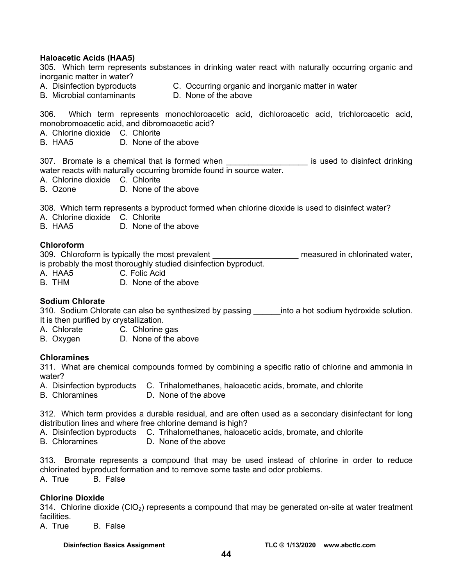## **Haloacetic Acids (HAA5)**

305. Which term represents substances in drinking water react with naturally occurring organic and inorganic matter in water?<br>A. Disinfection byproducts

- B. Microbial contaminants
- C. Occurring organic and inorganic matter in water<br>D. None of the above

306. Which term represents monochloroacetic acid, dichloroacetic acid, trichloroacetic acid, monobromoacetic acid, and dibromoacetic acid?

- A. Chlorine dioxide C. Chlorite
- B. HAA5 D. None of the above

307. Bromate is a chemical that is formed when **the interval is used to disinfect drinking** water reacts with naturally occurring bromide found in source water.

A. Chlorine dioxide C. Chlorite

B. Ozone D. None of the above

308. Which term represents a byproduct formed when chlorine dioxide is used to disinfect water?

A. Chlorine dioxide C. Chlorite<br>B. HAA5 D. None of

D. None of the above

#### **Chloroform**

309. Chloroform is typically the most prevalent example and the measured in chlorinated water, is probably the most thoroughly studied disinfection byproduct.

- A. HAA5 C. Folic Acid<br>B. THM D. None of th
- D. None of the above

#### **Sodium Chlorate**

310. Sodium Chlorate can also be synthesized by passing \_\_\_\_\_into a hot sodium hydroxide solution. It is then purified by crystallization.

- A. Chlorate C. Chlorine gas
- B. Oxygen D. None of the above

#### **Chloramines**

311. What are chemical compounds formed by combining a specific ratio of chlorine and ammonia in water?

- A. Disinfection byproducts C. Trihalomethanes, haloacetic acids, bromate, and chlorite
- B. Chloramines D. None of the above

312. Which term provides a durable residual, and are often used as a secondary disinfectant for long distribution lines and where free chlorine demand is high?

- A. Disinfection byproducts C. Trihalomethanes, haloacetic acids, bromate, and chlorite
- B. Chloramines D. None of the above

313. Bromate represents a compound that may be used instead of chlorine in order to reduce chlorinated byproduct formation and to remove some taste and odor problems.

A. True B. False

#### **Chlorine Dioxide**

314. Chlorine dioxide (ClO<sub>2</sub>) represents a compound that may be generated on-site at water treatment facilities.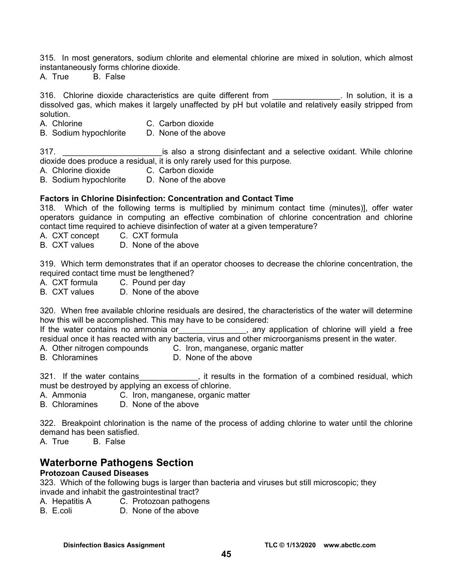315. In most generators, sodium chlorite and elemental chlorine are mixed in solution, which almost instantaneously forms chlorine dioxide.

A. True B. False

316. Chlorine dioxide characteristics are quite different from \_\_\_\_\_\_\_\_\_\_\_\_\_\_\_. In solution, it is a dissolved gas, which makes it largely unaffected by pH but volatile and relatively easily stripped from solution.

- 
- A. Chlorine C. Carbon dioxide
- B. Sodium hypochlorite D. None of the above

317. \_\_\_\_\_\_\_\_\_\_\_\_\_\_\_\_\_\_\_\_\_\_is also a strong disinfectant and a selective oxidant. While chlorine dioxide does produce a residual, it is only rarely used for this purpose.

- A. Chlorine dioxide C. Carbon dioxide
- B. Sodium hypochlorite D. None of the above

## **Factors in Chlorine Disinfection: Concentration and Contact Time**

318. Which of the following terms is multiplied by minimum contact time (minutes)], offer water operators guidance in computing an effective combination of chlorine concentration and chlorine contact time required to achieve disinfection of water at a given temperature?

- A. CXT concept C. CXT formula
- B. CXT values D. None of the above

319. Which term demonstrates that if an operator chooses to decrease the chlorine concentration, the required contact time must be lengthened?

- A. CXT formula C. Pound per day
- B. CXT values D. None of the above

320. When free available chlorine residuals are desired, the characteristics of the water will determine how this will be accomplished. This may have to be considered:

If the water contains no ammonia or solution of any application of chlorine will yield a free residual once it has reacted with any bacteria, virus and other microorganisms present in the water.

- A. Other nitrogen compounds C. Iron, manganese, organic matter
- B. Chloramines **D.** None of the above

321. If the water contains\_\_\_\_\_\_\_\_\_\_\_\_\_, it results in the formation of a combined residual, which must be destroyed by applying an excess of chlorine.

A. Ammonia C. Iron, manganese, organic matter

B. Chloramines D. None of the above

322. Breakpoint chlorination is the name of the process of adding chlorine to water until the chlorine demand has been satisfied.<br>A. True B. False

A. True

# **Waterborne Pathogens Section**

## **Protozoan Caused Diseases**

323. Which of the following bugs is larger than bacteria and viruses but still microscopic; they invade and inhabit the gastrointestinal tract?

- A. Hepatitis A C. Protozoan pathogens
- B. F. coli D. None of the above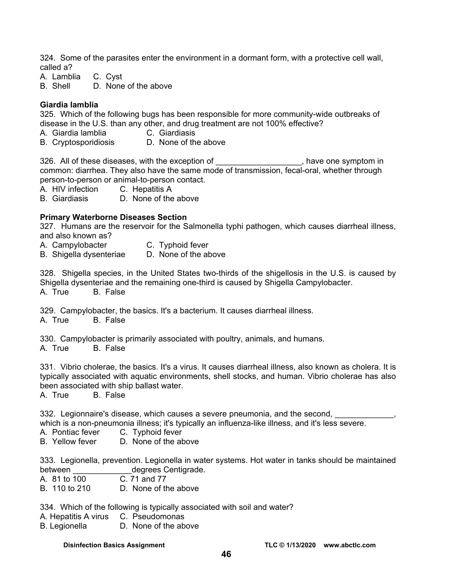324. Some of the parasites enter the environment in a dormant form, with a protective cell wall, called a?

A. Lamblia C. Cyst

B. Shell D. None of the above

#### **Giardia lamblia**

325. Which of the following bugs has been responsible for more community-wide outbreaks of disease in the U.S. than any other, and drug treatment are not 100% effective?

A. Giardia lamblia C. Giardiasis

B. Cryptosporidiosis D. None of the above

326. All of these diseases, with the exception of the state one symptom in common: diarrhea. They also have the same mode of transmission, fecal-oral, whether through person-to-person or animal-to-person contact.

A. HIV infection C. Hepatitis A

B. Giardiasis D. None of the above

## **Primary Waterborne Diseases Section**

327. Humans are the reservoir for the Salmonella typhi pathogen, which causes diarrheal illness, and also known as?

- A. Campylobacter **C.** Typhoid fever
- B. Shigella dysenteriae D. None of the above

328. Shigella species, in the United States two-thirds of the shigellosis in the U.S. is caused by Shigella dysenteriae and the remaining one-third is caused by Shigella Campylobacter.

A. True B. False

329. Campylobacter, the basics. It's a bacterium. It causes diarrheal illness.

A. True B. False

330. Campylobacter is primarily associated with poultry, animals, and humans.

A. True B. False

331. Vibrio cholerae, the basics. It's a virus. It causes diarrheal illness, also known as cholera. It is typically associated with aquatic environments, shell stocks, and human. Vibrio cholerae has also been associated with ship ballast water.

A. True B. False

332. Legionnaire's disease, which causes a severe pneumonia, and the second,

which is a non-pneumonia illness; it's typically an influenza-like illness, and it's less severe.

- A. Pontiac fever C. Typhoid fever<br>B. Yellow fever D. None of the ab
- D. None of the above

333. Legionella, prevention. Legionella in water systems. Hot water in tanks should be maintained between degrees Centigrade.

- A. 81 to 100 C. 71 and 77
- B. 110 to 210 D. None of the above

334. Which of the following is typically associated with soil and water?

A. Hepatitis A virus C. Pseudomonas

B. Legionella D. None of the above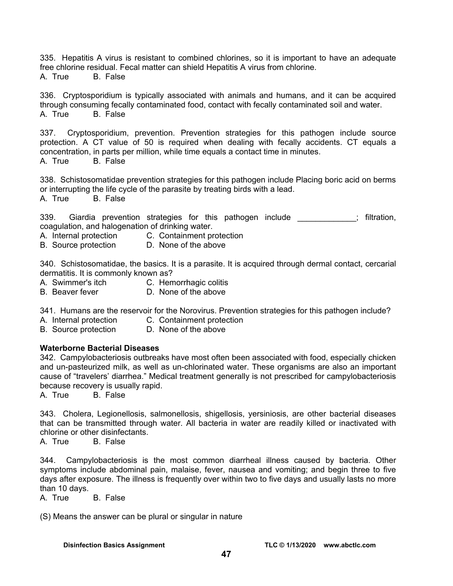335. Hepatitis A virus is resistant to combined chlorines, so it is important to have an adequate free chlorine residual. Fecal matter can shield Hepatitis A virus from chlorine. A. True B. False

336. Cryptosporidium is typically associated with animals and humans, and it can be acquired through consuming fecally contaminated food, contact with fecally contaminated soil and water. A. True B. False

337. Cryptosporidium, prevention. Prevention strategies for this pathogen include source protection. A CT value of 50 is required when dealing with fecally accidents. CT equals a concentration, in parts per million, while time equals a contact time in minutes. A. True B. False

338. Schistosomatidae prevention strategies for this pathogen include Placing boric acid on berms or interrupting the life cycle of the parasite by treating birds with a lead.

A. True B. False

339. Giardia prevention strategies for this pathogen include \_\_\_\_\_\_\_\_\_\_\_\_; filtration, coagulation, and halogenation of drinking water.

- A. Internal protection C. Containment protection
	-
- B. Source protection D. None of the above

340. Schistosomatidae, the basics. It is a parasite. It is acquired through dermal contact, cercarial dermatitis. It is commonly known as?

- 
- A. Swimmer's itch C. Hemorrhagic colitis
- B. Beaver fever D. None of the above

341. Humans are the reservoir for the Norovirus. Prevention strategies for this pathogen include?

- A. Internal protection C. Containment protection
	-
- B. Source protection D. None of the above

## **Waterborne Bacterial Diseases**

342. Campylobacteriosis outbreaks have most often been associated with food, especially chicken and un-pasteurized milk, as well as un-chlorinated water. These organisms are also an important cause of "travelers' diarrhea." Medical treatment generally is not prescribed for campylobacteriosis because recovery is usually rapid.

A. True B. False

343. Cholera, Legionellosis, salmonellosis, shigellosis, yersiniosis, are other bacterial diseases that can be transmitted through water. All bacteria in water are readily killed or inactivated with chlorine or other disinfectants.

A. True B. False

344. Campylobacteriosis is the most common diarrheal illness caused by bacteria. Other symptoms include abdominal pain, malaise, fever, nausea and vomiting; and begin three to five days after exposure. The illness is frequently over within two to five days and usually lasts no more than 10 days.

A. True B. False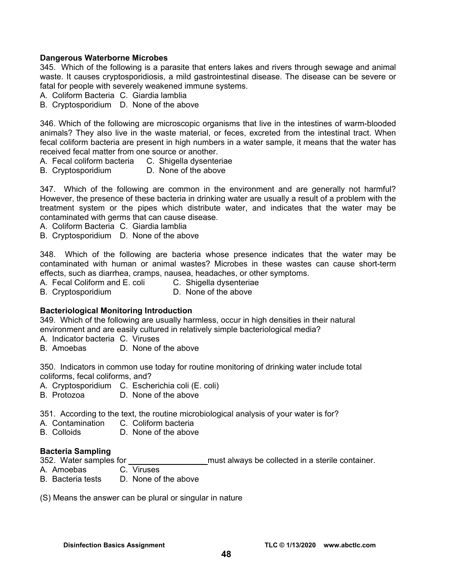## **Dangerous Waterborne Microbes**

345. Which of the following is a parasite that enters lakes and rivers through sewage and animal waste. It causes cryptosporidiosis, a mild gastrointestinal disease. The disease can be severe or fatal for people with severely weakened immune systems.

A. Coliform Bacteria C. Giardia lamblia

B. Cryptosporidium D. None of the above

346. Which of the following are microscopic organisms that live in the intestines of warm-blooded animals? They also live in the waste material, or feces, excreted from the intestinal tract. When fecal coliform bacteria are present in high numbers in a water sample, it means that the water has received fecal matter from one source or another.

- A. Fecal coliform bacteria C. Shigella dysenteriae
- B. Cryptosporidium D. None of the above

347. Which of the following are common in the environment and are generally not harmful? However, the presence of these bacteria in drinking water are usually a result of a problem with the treatment system or the pipes which distribute water, and indicates that the water may be contaminated with germs that can cause disease.

- A. Coliform Bacteria C. Giardia lamblia
- B. Cryptosporidium D. None of the above

348. Which of the following are bacteria whose presence indicates that the water may be contaminated with human or animal wastes? Microbes in these wastes can cause short-term effects, such as diarrhea, cramps, nausea, headaches, or other symptoms.

A. Fecal Coliform and E. coli C. Shigella dysenteriae

B. Cryptosporidium D. None of the above

#### **Bacteriological Monitoring Introduction**

349. Which of the following are usually harmless, occur in high densities in their natural environment and are easily cultured in relatively simple bacteriological media?

- A. Indicator bacteria C. Viruses
- B. Amoebas D. None of the above

350. Indicators in common use today for routine monitoring of drinking water include total coliforms, fecal coliforms, and?

- A. Cryptosporidium C. Escherichia coli (E. coli)
- B. Protozoa D. None of the above
- 351. According to the text, the routine microbiological analysis of your water is for?
- A. Contamination C. Coliform bacteria
- B. Colloids D. None of the above

#### **Bacteria Sampling**

352. Water samples for  $\blacksquare$  must always be collected in a sterile container.

- A. Amoebas C. Viruses
- B. Bacteria tests D. None of the above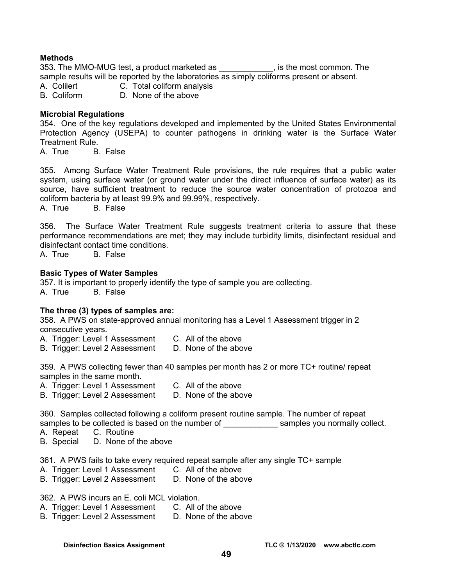## **Methods**

353. The MMO-MUG test, a product marketed as \_\_\_\_\_\_\_\_\_\_\_\_, is the most common. The sample results will be reported by the laboratories as simply coliforms present or absent.

A. Colilert **C. Total coliform analysis** 

B. Coliform D. None of the above

#### **Microbial Regulations**

354. One of the key regulations developed and implemented by the United States Environmental Protection Agency (USEPA) to counter pathogens in drinking water is the Surface Water Treatment Rule.

A. True B. False

355. Among Surface Water Treatment Rule provisions, the rule requires that a public water system, using surface water (or ground water under the direct influence of surface water) as its source, have sufficient treatment to reduce the source water concentration of protozoa and coliform bacteria by at least 99.9% and 99.99%, respectively.

A. True B. False

356. The Surface Water Treatment Rule suggests treatment criteria to assure that these performance recommendations are met; they may include turbidity limits, disinfectant residual and disinfectant contact time conditions.

A. True B. False

#### **Basic Types of Water Samples**

357. It is important to properly identify the type of sample you are collecting. A. True B. False

#### **The three (3) types of samples are:**

358. A PWS on state-approved annual monitoring has a Level 1 Assessment trigger in 2 consecutive years.

- A. Trigger: Level 1 Assessment C. All of the above
- B. Trigger: Level 2 Assessment D. None of the above

359. A PWS collecting fewer than 40 samples per month has 2 or more TC+ routine/ repeat samples in the same month.

- A. Trigger: Level 1 Assessment C. All of the above
- B. Trigger: Level 2 Assessment D. None of the above

360. Samples collected following a coliform present routine sample. The number of repeat samples to be collected is based on the number of examples you normally collect.

- A. Repeat C. Routine
- B. Special D. None of the above

361. A PWS fails to take every required repeat sample after any single TC+ sample

- A. Trigger: Level 1 Assessment C. All of the above
- B. Trigger: Level 2 Assessment D. None of the above

- 362. A PWS incurs an E. coli MCL violation.<br>A. Trigger: Level 1 Assessment C. All of the above A. Trigger: Level 1 Assessment
- B. Trigger: Level 2 Assessment D. None of the above

**Disinfection Basics Assignment TLC © 1/13/2020 [www.abctlc.com](http://www.abctlc.com)**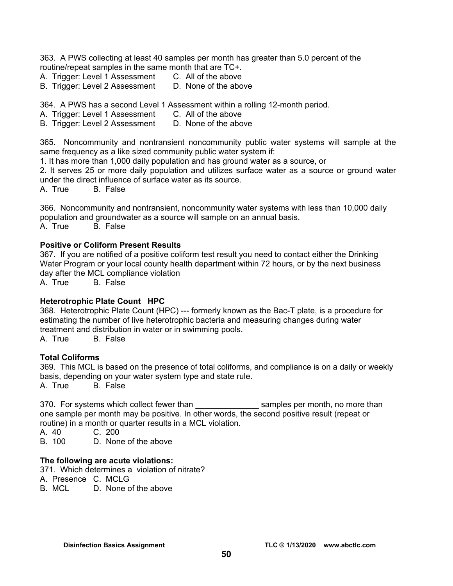363. A PWS collecting at least 40 samples per month has greater than 5.0 percent of the routine/repeat samples in the same month that are TC+.

- A. Trigger: Level 1 Assessment C. All of the above
- B. Trigger: Level 2 Assessment D. None of the above

364. A PWS has a second Level 1 Assessment within a rolling 12-month period.

- A. Trigger: Level 1 Assessment C. All of the above
- B. Trigger: Level 2 Assessment D. None of the above

365. Noncommunity and nontransient noncommunity public water systems will sample at the same frequency as a like sized community public water system if:

1. It has more than 1,000 daily population and has ground water as a source, or

2. It serves 25 or more daily population and utilizes surface water as a source or ground water under the direct influence of surface water as its source.

A. True B. False

366. Noncommunity and nontransient, noncommunity water systems with less than 10,000 daily population and groundwater as a source will sample on an annual basis.

A. True B. False

#### **Positive or Coliform Present Results**

367. If you are notified of a positive coliform test result you need to contact either the Drinking Water Program or your local county health department within 72 hours, or by the next business day after the MCL compliance violation

A. True B. False

## **Heterotrophic Plate Count HPC**

368. Heterotrophic Plate Count (HPC) --- formerly known as the Bac-T plate, is a procedure for estimating the number of live heterotrophic bacteria and measuring changes during water treatment and distribution in water or in swimming pools.

A. True B. False

#### **Total Coliforms**

369. This MCL is based on the presence of total coliforms, and compliance is on a daily or weekly basis, depending on your water system type and state rule.

A. True B. False

370. For systems which collect fewer than the samples per month, no more than one sample per month may be positive. In other words, the second positive result (repeat or routine) in a month or quarter results in a MCL violation.

- A. 40 C. 200
- B. 100 D. None of the above

#### **The following are acute violations:**

- 371. Which determines a violation of nitrate?
- A. Presence C. MCLG
- B. MCL D. None of the above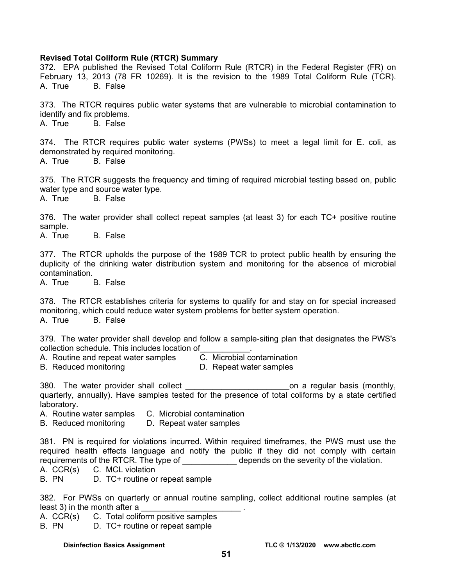#### **Revised Total Coliform Rule (RTCR) Summary**

372. EPA published the Revised Total Coliform Rule (RTCR) in the Federal Register (FR) on February 13, 2013 (78 FR 10269). It is the revision to the 1989 Total Coliform Rule (TCR). A. True B. False

373. The RTCR requires public water systems that are vulnerable to microbial contamination to identify and fix problems.

A. True B. False

374. The RTCR requires public water systems (PWSs) to meet a legal limit for E. coli, as demonstrated by required monitoring.

A. True B. False

375. The RTCR suggests the frequency and timing of required microbial testing based on, public water type and source water type.

A. True B. False

376. The water provider shall collect repeat samples (at least 3) for each TC+ positive routine sample.

A. True B. False

377. The RTCR upholds the purpose of the 1989 TCR to protect public health by ensuring the duplicity of the drinking water distribution system and monitoring for the absence of microbial contamination.

A. True B. False

378. The RTCR establishes criteria for systems to qualify for and stay on for special increased monitoring, which could reduce water system problems for better system operation. A. True B. False

379. The water provider shall develop and follow a sample-siting plan that designates the PWS's collection schedule. This includes location of\_\_\_\_\_\_\_\_\_\_\_.

A. Routine and repeat water samples C. Microbial contamination

B. Reduced monitoring D. Repeat water samples

380. The water provider shall collect example the state on a regular basis (monthly, quarterly, annually). Have samples tested for the presence of total coliforms by a state certified laboratory.

A. Routine water samples C. Microbial contamination

B. Reduced monitoring D. Repeat water samples

381. PN is required for violations incurred. Within required timeframes, the PWS must use the required health effects language and notify the public if they did not comply with certain requirements of the RTCR. The type of depends on the severity of the violation.

A. CCR(s) C. MCL violation

B. PN D. TC+ routine or repeat sample

382. For PWSs on quarterly or annual routine sampling, collect additional routine samples (at least 3) in the month after a

A. CCR(s) C. Total coliform positive samples

B. PN D. TC+ routine or repeat sample

**Disinfection Basics Assignment TLC © 1/13/2020 [www.abctlc.com](http://www.abctlc.com)**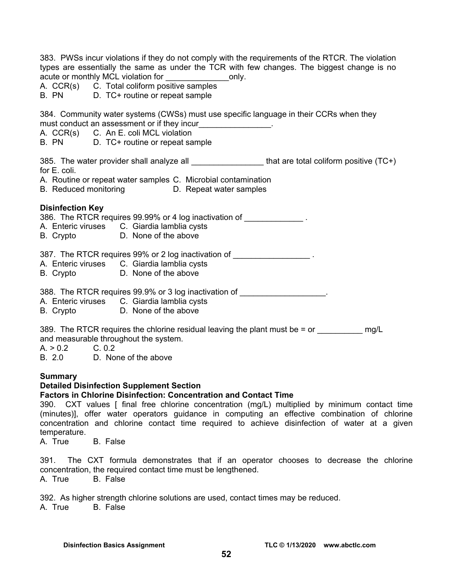383. PWSs incur violations if they do not comply with the requirements of the RTCR. The violation types are essentially the same as under the TCR with few changes. The biggest change is no acute or monthly MCL violation for **EXACC 10** only.

- A. CCR(s) C. Total coliform positive samples
- B. PN D. TC+ routine or repeat sample

| 384. Community water systems (CWSs) must use specific language in their CCRs when they<br>must conduct an assessment or if they incur<br>A. CCR(s) C. An E. coli MCL violation<br>B. PN<br>D. TC+ routine or repeat sample |                                          |
|----------------------------------------------------------------------------------------------------------------------------------------------------------------------------------------------------------------------------|------------------------------------------|
| 385. The water provider shall analyze all<br>for E. coli.<br>A. Routine or repeat water samples C. Microbial contamination<br>B. Reduced monitoring<br>D. Repeat water samples                                             | that are total coliform positive $(TC+)$ |
| <b>Disinfection Key</b><br>386. The RTCR requires 99.99% or 4 log inactivation of<br>A. Enteric viruses C. Giardia lamblia cysts                                                                                           |                                          |

B. Crypto D. None of the above

387. The RTCR requires 99% or 2 log inactivation of

- A. Enteric viruses C. Giardia lamblia cysts
- B. Crypto D. None of the above

388. The RTCR requires 99.9% or 3 log inactivation of

- A. Enteric viruses C. Giardia lamblia cysts
- B. Crypto D. None of the above

389. The RTCR requires the chlorine residual leaving the plant must be = or \_\_\_\_\_\_\_\_\_\_ mg/L and measurable throughout the system.

 $A > 0.2$  C. 0.2

B. 2.0 D. None of the above

## **Summary**

## **Detailed Disinfection Supplement Section**

## **Factors in Chlorine Disinfection: Concentration and Contact Time**

390. CXT values [ final free chlorine concentration (mg/L) multiplied by minimum contact time (minutes)], offer water operators guidance in computing an effective combination of chlorine concentration and chlorine contact time required to achieve disinfection of water at a given temperature.

A. True B. False

391. The CXT formula demonstrates that if an operator chooses to decrease the chlorine concentration, the required contact time must be lengthened.

A. True B. False

392. As higher strength chlorine solutions are used, contact times may be reduced.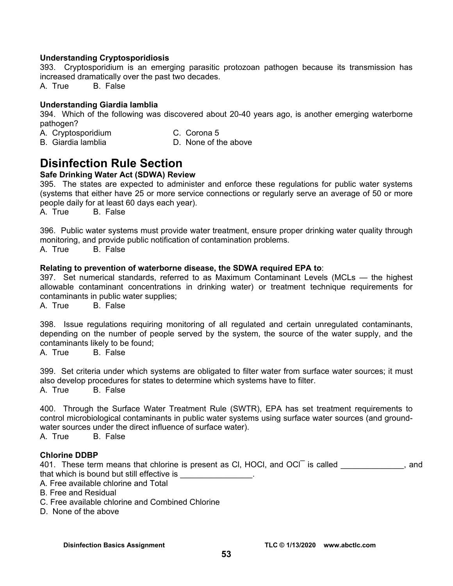#### **Understanding Cryptosporidiosis**

393. Cryptosporidium is an emerging parasitic protozoan pathogen because its transmission has increased dramatically over the past two decades.

A. True B. False

#### **Understanding Giardia lamblia**

394. Which of the following was discovered about 20-40 years ago, is another emerging waterborne pathogen?

- A. Cryptosporidium C. Corona 5
- B. Giardia lamblia **B.** D. None of the above

# **Disinfection Rule Section**

#### **Safe Drinking Water Act (SDWA) Review**

395. The states are expected to administer and enforce these regulations for public water systems (systems that either have 25 or more service connections or regularly serve an average of 50 or more people daily for at least 60 days each year).<br>A. True B. False

B. False

396. Public water systems must provide water treatment, ensure proper drinking water quality through monitoring, and provide public notification of contamination problems.

A. True B. False

#### **Relating to prevention of waterborne disease, the SDWA required EPA to**:

397. Set numerical standards, referred to as Maximum Contaminant Levels (MCLs — the highest allowable contaminant concentrations in drinking water) or treatment technique requirements for contaminants in public water supplies;

A. True B. False

398. Issue regulations requiring monitoring of all regulated and certain unregulated contaminants, depending on the number of people served by the system, the source of the water supply, and the contaminants likely to be found;

A. True B. False

399. Set criteria under which systems are obligated to filter water from surface water sources; it must also develop procedures for states to determine which systems have to filter. A. True B. False

400. Through the Surface Water Treatment Rule (SWTR), EPA has set treatment requirements to control microbiological contaminants in public water systems using surface water sources (and groundwater sources under the direct influence of surface water).

A. True B. False

#### **Chlorine DDBP**

401. These term means that chlorine is present as CI, HOCI, and OCI<sup> $^-$ </sup> is called  $\hspace{1cm}$ , and that which is bound but still effective is \_\_\_\_\_\_\_\_\_\_\_\_\_\_\_.

A. Free available chlorine and Total

- B. Free and Residual
- C. Free available chlorine and Combined Chlorine
- D. None of the above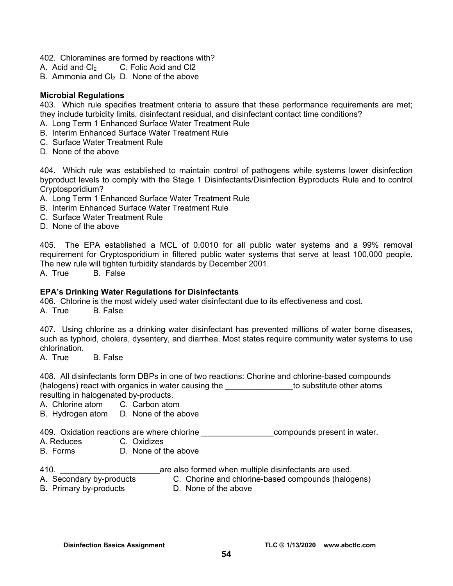402. Chloramines are formed by reactions with?

- A. Acid and  $Cl<sub>2</sub>$  C. Folic Acid and Cl2
- B. Ammonia and  $Cl<sub>2</sub>$  D. None of the above

#### **Microbial Regulations**

403. Which rule specifies treatment criteria to assure that these performance requirements are met; they include turbidity limits, disinfectant residual, and disinfectant contact time conditions?

- A. Long Term 1 Enhanced Surface Water Treatment Rule
- B. Interim Enhanced Surface Water Treatment Rule
- C. Surface Water Treatment Rule
- D. None of the above

404. Which rule was established to maintain control of pathogens while systems lower disinfection byproduct levels to comply with the Stage 1 Disinfectants/Disinfection Byproducts Rule and to control Cryptosporidium?

- A. Long Term 1 Enhanced Surface Water Treatment Rule
- B. Interim Enhanced Surface Water Treatment Rule
- C. Surface Water Treatment Rule
- D. None of the above

405. The EPA established a MCL of 0.0010 for all public water systems and a 99% removal requirement for Cryptosporidium in filtered public water systems that serve at least 100,000 people. The new rule will tighten turbidity standards by December 2001.

A. True B. False

#### **EPA's Drinking Water Regulations for Disinfectants**

406. Chlorine is the most widely used water disinfectant due to its effectiveness and cost.

A. True B. False

407. Using chlorine as a drinking water disinfectant has prevented millions of water borne diseases, such as typhoid, cholera, dysentery, and diarrhea. Most states require community water systems to use chlorination.

A. True B. False

408. All disinfectants form DBPs in one of two reactions: Chorine and chlorine-based compounds (halogens) react with organics in water causing the \_\_\_\_\_\_\_\_\_\_\_\_\_\_\_to substitute other atoms resulting in halogenated by-products.

A. Chlorine atom C. Carbon atom

B. Hydrogen atom D. None of the above

409. Oxidation reactions are where chlorine example to the compounds present in water.

- A. Reduces C. Oxidizes
- B. Forms D. None of the above

- 
- 410. \_\_\_\_\_\_\_\_\_\_\_\_\_\_\_\_\_\_\_\_\_\_are also formed when multiple disinfectants are used. A. Secondary by-products C. Chorine and chlorine-based compounds (halogens)
- B. Primary by-products D. None of the above
-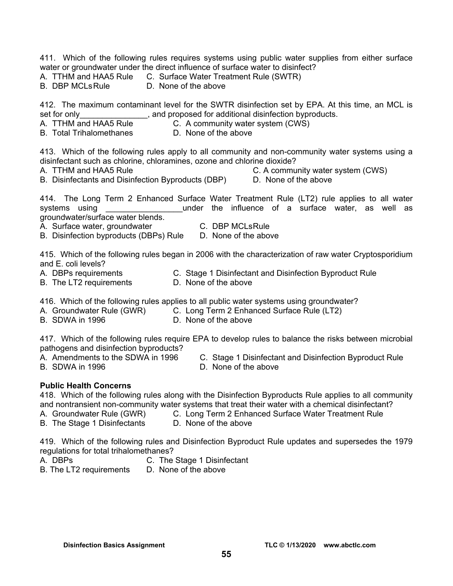411. Which of the following rules requires systems using public water supplies from either surface water or groundwater under the direct influence of surface water to disinfect?

A. TTHM and HAA5 Rule C. Surface Water Treatment Rule (SWTR)<br>B. DBP MCLs Rule D. None of the above

D. None of the above

412. The maximum contaminant level for the SWTR disinfection set by EPA. At this time, an MCL is set for only set for only set for only and proposed for additional disinfection byproducts.

- A. TTHM and HAA5 Rule C. A community water system (CWS)
- B. Total Trihalomethanes D. None of the above

413. Which of the following rules apply to all community and non-community water systems using a disinfectant such as chlorine, chloramines, ozone and chlorine dioxide?

- 
- A. TTHM and HAA5 Rule **C. A community water system (CWS)**
- B. Disinfectants and Disinfection Byproducts (DBP) D. None of the above

414. The Long Term 2 Enhanced Surface Water Treatment Rule (LT2) rule applies to all water systems using **Exercise 20** under the influence of a surface water, as well as groundwater/surface water blends.

A. Surface water, groundwater **C. DBP MCLsRule** 

B. Disinfection byproducts (DBPs) Rule D. None of the above

415. Which of the following rules began in 2006 with the characterization of raw water Cryptosporidium and E. coli levels?

- A. DBPs requirements C. Stage 1 Disinfectant and Disinfection Byproduct Rule
- B. The LT2 requirements D. None of the above
- 

416. Which of the following rules applies to all public water systems using groundwater?

- 
- A. Groundwater Rule (GWR) C. Long Term 2 Enhanced Surface Rule (LT2)
- B. SDWA in 1996 D. None of the above

417. Which of the following rules require EPA to develop rules to balance the risks between microbial pathogens and disinfection byproducts?

- 
- A. Amendments to the SDWA in 1996 C. Stage 1 Disinfectant and Disinfection Byproduct Rule<br>B. SDWA in 1996 C. None of the above
	- D. None of the above

## **Public Health Concerns**

418. Which of the following rules along with the Disinfection Byproducts Rule applies to all community and nontransient non-community water systems that treat their water with a chemical disinfectant? A. Groundwater Rule (GWR) C. Long Term 2 Enhanced Surface Water Treatment Rule

- 
- B. The Stage 1 Disinfectants D. None of the above

419. Which of the following rules and Disinfection Byproduct Rule updates and supersedes the 1979 regulations for total trihalomethanes?

- A. DBPs C. The Stage 1 Disinfectant
- B. The LT2 requirements D. None of the above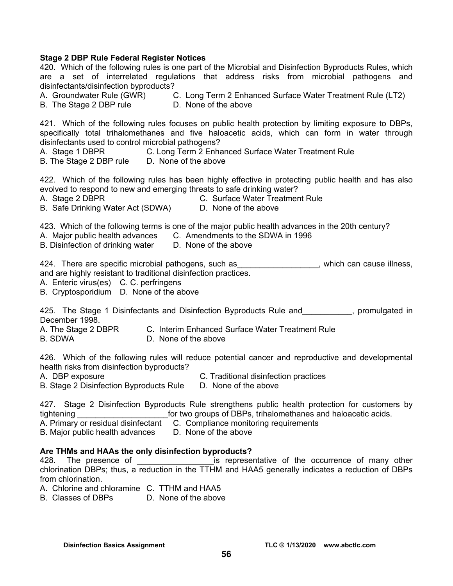#### **Stage 2 DBP Rule Federal Register Notices**

420. Which of the following rules is one part of the Microbial and Disinfection Byproducts Rules, which are a set of interrelated regulations that address risks from microbial pathogens and disinfectants/disinfection byproducts?

- A. Groundwater Rule (GWR) C. Long Term 2 Enhanced Surface Water Treatment Rule (LT2)
- B. The Stage 2 DBP rule D. None of the above

421. Which of the following rules focuses on public health protection by limiting exposure to DBPs, specifically total trihalomethanes and five haloacetic acids, which can form in water through disinfectants used to control microbial pathogens?

- A. Stage 1 DBPR C. Long Term 2 Enhanced Surface Water Treatment Rule
- B. The Stage 2 DBP rule D. None of the above

422. Which of the following rules has been highly effective in protecting public health and has also evolved to respond to new and emerging threats to safe drinking water?

- A. Stage 2 DBPR C. Surface Water Treatment Rule
- B. Safe Drinking Water Act (SDWA) D. None of the above

423. Which of the following terms is one of the major public health advances in the 20th century?

- A. Major public health advances C. Amendments to the SDWA in 1996
- B. Disinfection of drinking water D. None of the above

424. There are specific microbial pathogens, such as \_\_\_\_\_\_\_\_\_\_\_\_\_\_\_\_\_, which can cause illness, and are highly resistant to traditional disinfection practices.

A. Enteric virus(es) C. C. perfringens

B. Cryptosporidium D. None of the above

425. The Stage 1 Disinfectants and Disinfection Byproducts Rule and The Stage 1 Disinfectants and Disinfection Byproducts Rule and December 1998.

- A. The Stage 2 DBPR C. Interim Enhanced Surface Water Treatment Rule
- B. SDWA D. None of the above

426. Which of the following rules will reduce potential cancer and reproductive and developmental health risks from disinfection byproducts?

A. DBP exposure C. Traditional disinfection practices

B. Stage 2 Disinfection Byproducts Rule D. None of the above

427. Stage 2 Disinfection Byproducts Rule strengthens public health protection for customers by tightening \_\_\_\_\_\_\_\_\_\_\_\_\_\_\_\_\_\_\_\_for two groups of DBPs, trihalomethanes and haloacetic acids.

A. Primary or residual disinfectant C. Compliance monitoring requirements

B. Major public health advances D. None of the above

#### **Are THMs and HAAs the only disinfection byproducts?**

428. The presence of the seperative of the occurrence of many other chlorination DBPs; thus, a reduction in the TTHM and HAA5 generally indicates a reduction of DBPs from chlorination.

A. Chlorine and chloramine C. TTHM and HAA5

B. Classes of DBPs D. None of the above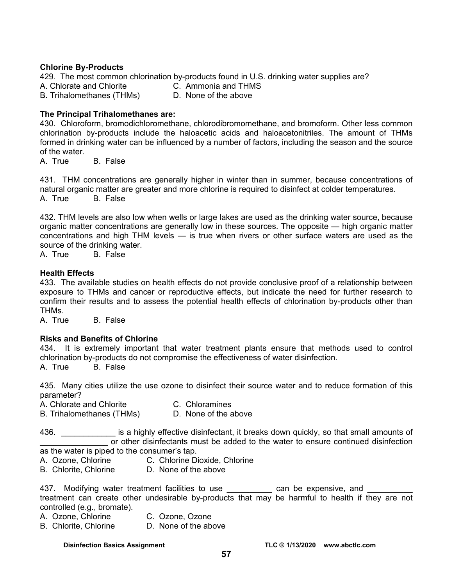## **Chlorine By-Products**

429. The most common chlorination by-products found in U.S. drinking water supplies are? A. Chlorate and Chlorite C. Ammonia and THMS<br>B. Trihalomethanes (THMs) D. None of the above B. Trihalomethanes (THMs)

#### **The Principal Trihalomethanes are:**

430. Chloroform, bromodichloromethane, chlorodibromomethane, and bromoform. Other less common chlorination by-products include the haloacetic acids and haloacetonitriles. The amount of THMs formed in drinking water can be influenced by a number of factors, including the season and the source of the water.

A. True B. False

431. THM concentrations are generally higher in winter than in summer, because concentrations of natural organic matter are greater and more chlorine is required to disinfect at colder temperatures. A. True B. False

432. THM levels are also low when wells or large lakes are used as the drinking water source, because organic matter concentrations are generally low in these sources. The opposite — high organic matter concentrations and high THM levels — is true when rivers or other surface waters are used as the source of the drinking water.

A. True B. False

#### **Health Effects**

433. The available studies on health effects do not provide conclusive proof of a relationship between exposure to THMs and cancer or reproductive effects, but indicate the need for further research to confirm their results and to assess the potential health effects of chlorination by-products other than THMs.

A. True B. False

#### **Risks and Benefits of Chlorine**

434. It is extremely important that water treatment plants ensure that methods used to control chlorination by-products do not compromise the effectiveness of water disinfection.<br>A. True B. False

B. False

435. Many cities utilize the use ozone to disinfect their source water and to reduce formation of this parameter?

- A. Chlorate and Chlorite **C.** Chloramines
- B. Trihalomethanes (THMs) D. None of the above

436. \_\_\_\_\_\_\_\_\_\_\_\_ is a highly effective disinfectant, it breaks down quickly, so that small amounts of \_\_\_\_\_\_\_\_\_\_\_\_\_\_\_ or other disinfectants must be added to the water to ensure continued disinfection

as the water is piped to the consumer's tap.

- A. Ozone, Chlorine C. Chlorine Dioxide, Chlorine
- B. Chlorite, Chlorine D. None of the above

437. Modifying water treatment facilities to use \_\_\_\_\_\_\_\_\_\_\_ can be expensive, and treatment can create other undesirable by-products that may be harmful to health if they are not controlled (e.g., bromate).

- A. Ozone, Chlorine C. Ozone, Ozone
- B. Chlorite, Chlorine D. None of the above

**Disinfection Basics Assignment TLC © 1/13/2020 [www.abctlc.com](http://www.abctlc.com)**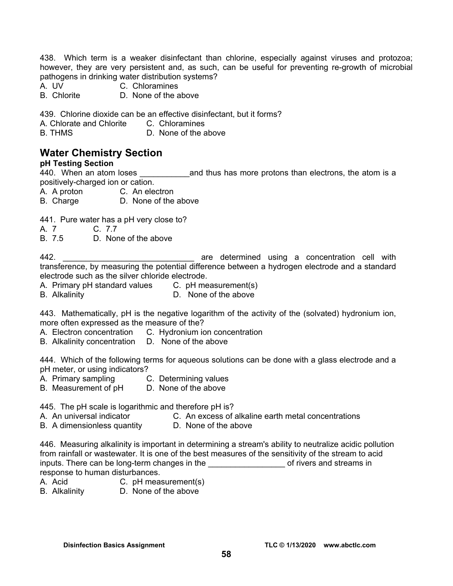438. Which term is a weaker disinfectant than chlorine, especially against viruses and protozoa; however, they are very persistent and, as such, can be useful for preventing re-growth of microbial pathogens in drinking water distribution systems?<br>A. UV C. Chloramines

- A. UV C. Chloramines<br>B. Chlorite D. None of the a
- D. None of the above

439. Chlorine dioxide can be an effective disinfectant, but it forms?

- A. Chlorate and Chlorite C. Chloramines
- B. THMS D. None of the above

# **Water Chemistry Section**

## **pH Testing Section**

440. When an atom loses and thus has more protons than electrons, the atom is a positively-charged ion or cation.

- A. A proton C. An electron
- B. Charge D. None of the above
- 441. Pure water has a pH very close to?
- A. 7 C. 7.7
- B. 7.5 D. None of the above

442. **Example 20 are determined using a concentration cell with** transference, by measuring the potential difference between a hydrogen electrode and a standard electrode such as the silver chloride electrode.

- A. Primary pH standard values C. pH measurement(s)
- B. Alkalinity D. None of the above

443. Mathematically, pH is the negative logarithm of the activity of the (solvated) hydronium ion, more often expressed as the measure of the?

- A. Electron concentration C. Hydronium ion concentration
- B. Alkalinity concentration D. None of the above

444. Which of the following terms for aqueous solutions can be done with a glass electrode and a pH meter, or using indicators?

- A. Primary sampling C. Determining values
- B. Measurement of pH D. None of the above

445. The pH scale is logarithmic and therefore pH is?

- A. An universal indicator C. An excess of alkaline earth metal concentrations
- B. A dimensionless quantityD. None of the above

446. Measuring alkalinity is important in determining a stream's ability to neutralize acidic pollution from rainfall or wastewater. It is one of the best measures of the sensitivity of the stream to acid inputs. There can be long-term changes in the **with the set of rivers and streams in** response to human disturbances.

- A. Acid C. pH measurement(s)
- B. Alkalinity D. None of the above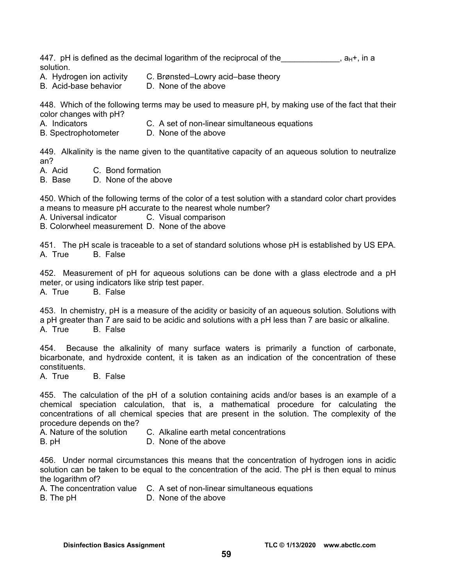447. pH is defined as the decimal logarithm of the reciprocal of the  $\blacksquare$ , a<sub>H</sub>+, in a solution.

- B. Acid-base behavior
- A. Hydrogen ion activity C. Brønsted–Lowry acid–base theory<br>B. Acid-base behavior D. None of the above

448. Which of the following terms may be used to measure pH, by making use of the fact that their color changes with pH?

- A. Indicators C. A set of non-linear simultaneous equations
- B. SpectrophotometerD. None of the above

449. Alkalinity is the name given to the quantitative capacity of an aqueous solution to neutralize an?

- A. Acid C. Bond formation
- B. Base D. None of the above

450. Which of the following terms of the color of a test solution with a standard color chart provides a means to measure pH accurate to the nearest whole number?

A. Universal indicator C. Visual comparison

B. Colorwheel measurement D. None of the above

451. The pH scale is traceable to a set of standard solutions whose pH is established by US EPA. A. True B. False

452. Measurement of pH for aqueous solutions can be done with a glass electrode and a pH meter, or using indicators like strip test paper.

A. True B. False

453. In chemistry, pH is a measure of the acidity or basicity of an aqueous solution. Solutions with a pH greater than 7 are said to be acidic and solutions with a pH less than 7 are basic or alkaline. A. True B. False

454. Because the alkalinity of many surface waters is primarily a function of carbonate, bicarbonate, and hydroxide content, it is taken as an indication of the concentration of these constituents.

A. True B. False

455. The calculation of the pH of a solution containing acids and/or bases is an example of a chemical speciation calculation, that is, a mathematical procedure for calculating the concentrations of all chemical species that are present in the solution. The complexity of the procedure depends on the?

A. Nature of the solution C. Alkaline earth metal concentrations B. pHD. None of the above

456. Under normal circumstances this means that the concentration of hydrogen ions in acidic solution can be taken to be equal to the concentration of the acid. The pH is then equal to minus the logarithm of?

A. The concentration value C. A set of non-linear simultaneous equations B. The pHD. None of the above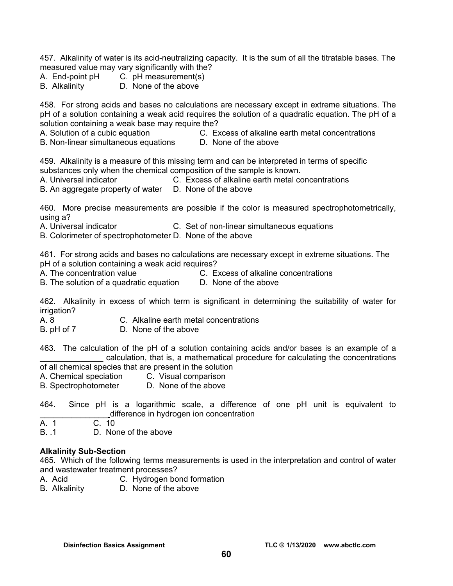457. Alkalinity of water is its acid-neutralizing capacity. It is the sum of all the titratable bases. The measured value may vary significantly with the?

- A. End-point pH C. pH measurement(s)
- B. Alkalinity D. None of the above

458. For strong acids and bases no calculations are necessary except in extreme situations. The pH of a solution containing a weak acid requires the solution of a quadratic equation. The pH of a solution containing a weak base may require the?

- A. Solution of a cubic equation C. Excess of alkaline earth metal concentrations
	- B. Non-linear simultaneous equations D. None of the above
- -

459. Alkalinity is a measure of this missing term and can be interpreted in terms of specific substances only when the chemical composition of the sample is known.

- A. Universal indicator C. Excess of alkaline earth metal concentrations
- B. An aggregate property of water D. None of the above

460. More precise measurements are possible if the color is measured spectrophotometrically, using a?

- A. Universal indicator C. Set of non-linear simultaneous equations
- B. Colorimeter of spectrophotometer D. None of the above

461. For strong acids and bases no calculations are necessary except in extreme situations. The pH of a solution containing a weak acid requires?

- A. The concentration value C. Excess of alkaline concentrations
- B. The solution of a quadratic equation D. None of the above

462. Alkalinity in excess of which term is significant in determining the suitability of water for irrigation?

A. 8 C. Alkaline earth metal concentrations

B. pH of 7D. None of the above

463. The calculation of the pH of a solution containing acids and/or bases is an example of a \_\_\_\_\_\_\_\_\_\_\_\_\_\_ calculation, that is, a mathematical procedure for calculating the concentrations

of all chemical species that are present in the solution

- A. Chemical speciation C. Visual comparison
- B. Spectrophotometer D. None of the above
- 464. Since pH is a logarithmic scale, a difference of one pH unit is equivalent to difference in hydrogen ion concentration
- A. 1 C. 10

B. .1 D. None of the above

## **Alkalinity Sub-Section**

465. Which of the following terms measurements is used in the interpretation and control of water and wastewater treatment processes?

- A. Acid C. Hydrogen bond formation
- B. Alkalinity D. None of the above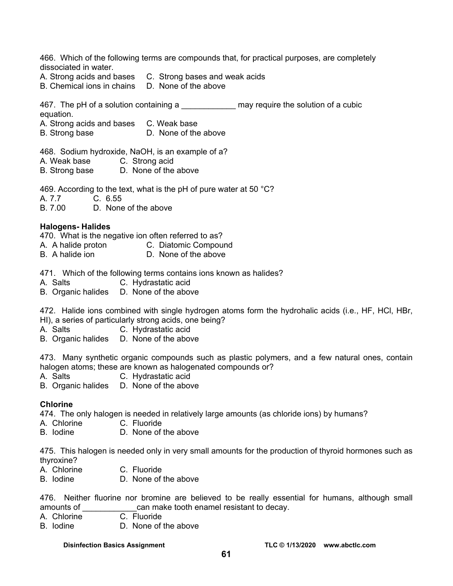466. Which of the following terms are compounds that, for practical purposes, are completely dissociated in water.

- A. Strong acids and bases C. Strong bases and weak acids
- B. Chemical ions in chains D. None of the above

467. The pH of a solution containing a can be may require the solution of a cubic equation.

- A. Strong acids and bases C. Weak base
- B. Strong base D. None of the above

468. Sodium hydroxide, NaOH, is an example of a?

- A. Weak base C. Strong acid
- B. Strong base D. None of the above

469. According to the text, what is the pH of pure water at 50 °C?

A. 7.7 C. 6.55

B. 7.00 D. None of the above

#### **Halogens- Halides**

470. What is the negative ion often referred to as?

- A. A halide proton C. Diatomic Compound
- B. A halide ion D. None of the above

471. Which of the following terms contains ions known as halides?

- A. Salts C. Hydrastatic acid
- B. Organic halides D. None of the above

472. Halide ions combined with single hydrogen atoms form the hydrohalic acids (i.e., HF, HCl, HBr, HI), a series of particularly strong acids, one being?

- A. Salts C. Hydrastatic acid
- B. Organic halides D. None of the above

473. Many synthetic organic compounds such as plastic polymers, and a few natural ones, contain halogen atoms; these are known as halogenated compounds or?

- A. Salts C. Hydrastatic acid
- B. Organic halides D. None of the above

## **Chlorine**

474. The only halogen is needed in relatively large amounts (as chloride ions) by humans?

- A. Chlorine
- B. Iodine D. None of the above

475. This halogen is needed only in very small amounts for the production of thyroid hormones such as thyroxine?

- A. Chlorine C. Fluoride
- B. Iodine D. None of the above

476. Neither fluorine nor bromine are believed to be really essential for humans, although small amounts of **Example 20** can make tooth enamel resistant to decay.

- A. Chlorine C. Fluoride
- B. Iodine D. None of the above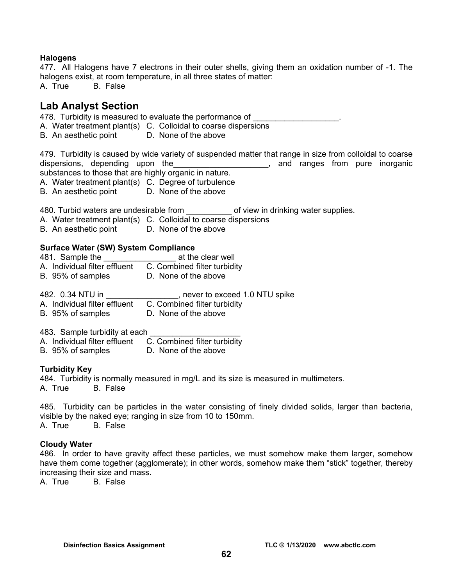## **Halogens**

477. All Halogens have 7 electrons in their outer shells, giving them an oxidation number of -1. The halogens exist, at room temperature, in all three states of matter:

A. True B. False

# **Lab Analyst Section**

478. Turbidity is measured to evaluate the performance of

A. Water treatment plant(s) C. Colloidal to coarse dispersions

B. An aesthetic point D. None of the above

479. Turbidity is caused by wide variety of suspended matter that range in size from colloidal to coarse dispersions, depending upon the the state of the state of the state of the state of the state of the state of the state of the state of the state of the state of the state of the state of the state of the state of the stat substances to those that are highly organic in nature.

A. Water treatment plant(s) C. Degree of turbulence

B. An aesthetic point D. None of the above

480. Turbid waters are undesirable from \_\_\_\_\_\_\_\_\_\_ of view in drinking water supplies.

- A. Water treatment plant(s) C. Colloidal to coarse dispersions
- B. An aesthetic point D. None of the above

## **Surface Water (SW) System Compliance**

- 481. Sample the \_\_\_\_\_\_\_\_\_\_\_\_\_\_\_\_ at the clear well
- A. Individual filter effluent
- B. 95% of samples D. None of the above
- 482. 0.34 NTU in **the summary contract in the section of the section of the section of the section of the 482.**
- A. Individual filter effluent C. Combined filter turbidity
- B. 95% of samples D. None of the above

483. Sample turbidity at each

A. Individual filter effluent C. Combined filter turbidity

B. 95% of samples D. None of the above

#### **Turbidity Key**

484. Turbidity is normally measured in mg/L and its size is measured in multimeters.

A. True B. False

485. Turbidity can be particles in the water consisting of finely divided solids, larger than bacteria, visible by the naked eye; ranging in size from 10 to 150mm. A. True B. False

## **Cloudy Water**

486. In order to have gravity affect these particles, we must somehow make them larger, somehow have them come together (agglomerate); in other words, somehow make them "stick" together, thereby increasing their size and mass.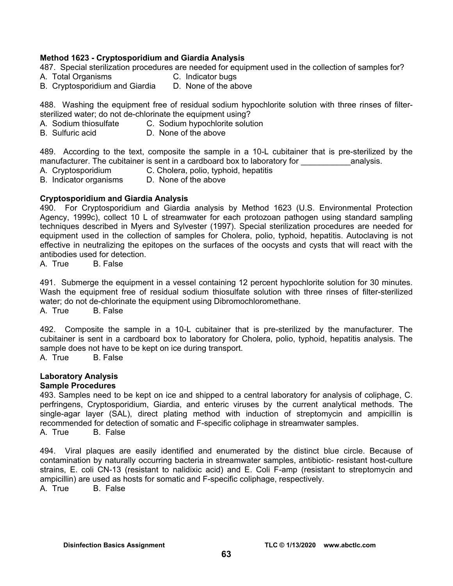## **Method 1623 - Cryptosporidium and Giardia Analysis**

487. Special sterilization procedures are needed for equipment used in the collection of samples for?

- A. Total Organisms C. Indicator bugs
- 
- B. Cryptosporidium and Giardia D. None of the above

488. Washing the equipment free of residual sodium hypochlorite solution with three rinses of filtersterilized water; do not de-chlorinate the equipment using?

- A. Sodium thiosulfate C. Sodium hypochlorite solution
- B. Sulfuric acid D. None of the above

489. According to the text, composite the sample in a 10-L cubitainer that is pre-sterilized by the manufacturer. The cubitainer is sent in a cardboard box to laboratory for example analysis.

- A. Cryptosporidium C. Cholera, polio, typhoid, hepatitis
- B. Indicator organisms D. None of the above

## **Cryptosporidium and Giardia Analysis**

490. For Cryptosporidium and Giardia analysis by Method 1623 (U.S. Environmental Protection Agency, 1999c), collect 10 L of streamwater for each protozoan pathogen using standard sampling techniques described in Myers and Sylvester (1997). Special sterilization procedures are needed for equipment used in the collection of samples for Cholera, polio, typhoid, hepatitis. Autoclaving is not effective in neutralizing the epitopes on the surfaces of the oocysts and cysts that will react with the antibodies used for detection.

A. True B. False

491. Submerge the equipment in a vessel containing 12 percent hypochlorite solution for 30 minutes. Wash the equipment free of residual sodium thiosulfate solution with three rinses of filter-sterilized water; do not de-chlorinate the equipment using Dibromochloromethane.

A. True B. False

492. Composite the sample in a 10-L cubitainer that is pre-sterilized by the manufacturer. The cubitainer is sent in a cardboard box to laboratory for Cholera, polio, typhoid, hepatitis analysis. The sample does not have to be kept on ice during transport.

A. True B. False

#### **Laboratory Analysis Sample Procedures**

493. Samples need to be kept on ice and shipped to a central laboratory for analysis of coliphage, C. perfringens, Cryptosporidium, Giardia, and enteric viruses by the current analytical methods. The single-agar layer (SAL), direct plating method with induction of streptomycin and ampicillin is recommended for detection of somatic and F-specific coliphage in streamwater samples. A. True B. False

494. Viral plaques are easily identified and enumerated by the distinct blue circle. Because of contamination by naturally occurring bacteria in streamwater samples, antibiotic- resistant host-culture strains, E. coli CN-13 (resistant to nalidixic acid) and E. Coli F-amp (resistant to streptomycin and ampicillin) are used as hosts for somatic and F-specific coliphage, respectively.